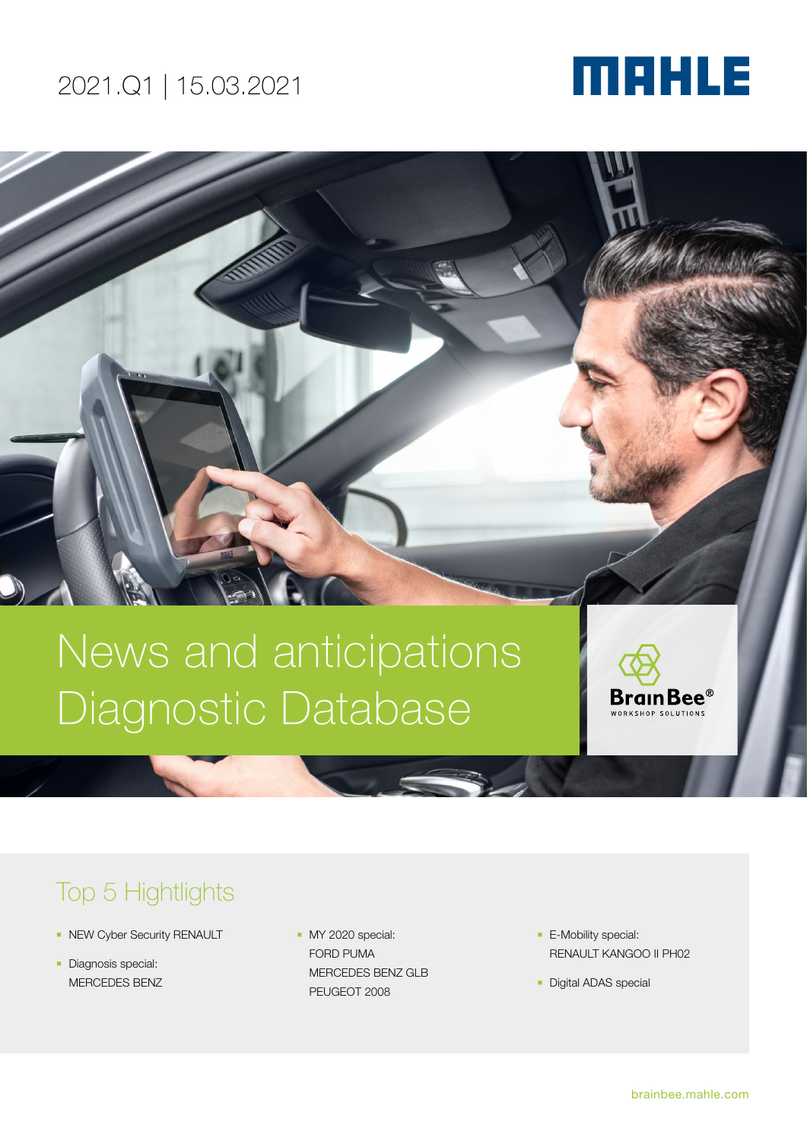# MAHLE

# News and anticipations Diagnostic Database

Brain Bee $^\circ$ WORKSHOP SOLUTIONS

# Top 5 Hightlights

- **NEW Cyber Security RENAULT**
- **Diagnosis special:** MERCEDES BENZ
- MY 2020 special: FORD PUMA MERCEDES BENZ GLB PEUGEOT 2008
- **E-Mobility special:** RENAULT KANGOO II PH02
- **Digital ADAS special**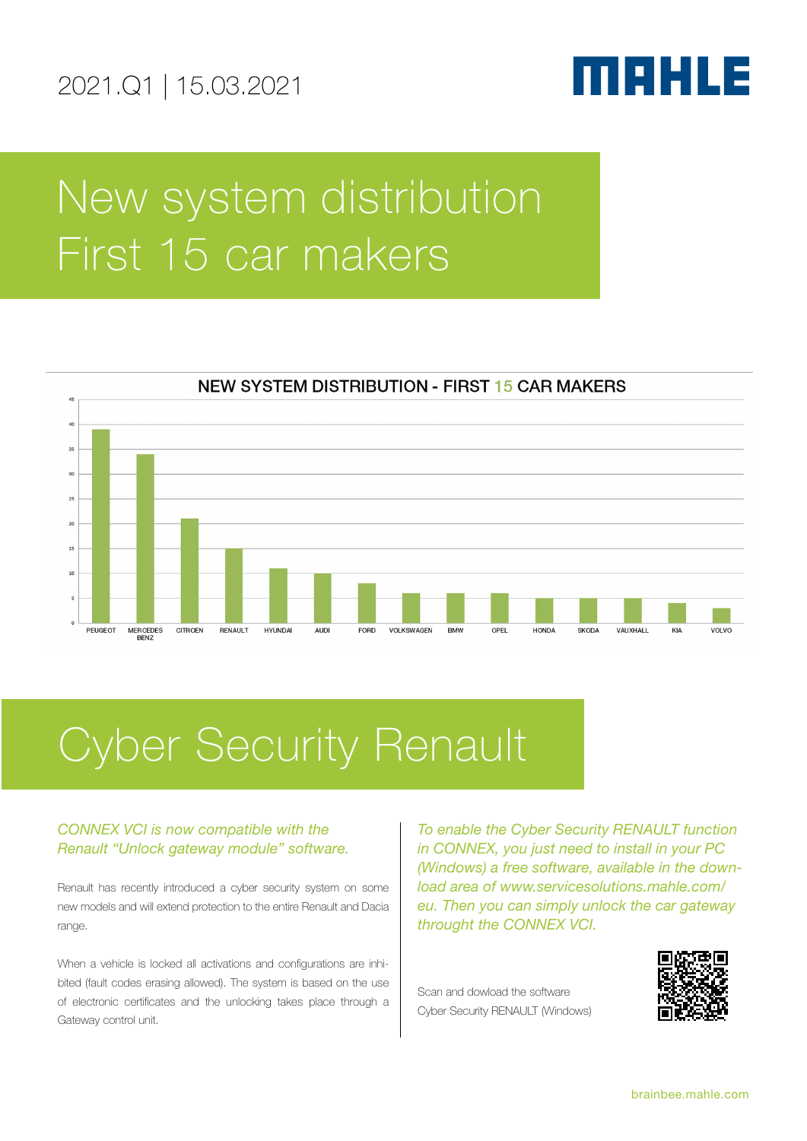

# New system distribution First 15 car makers



# Cyber Security Renault

# *CONNEX VCI is now compatible with the Renault "Unlock gateway module" software.*

Renault has recently introduced a cyber security system on some new models and will extend protection to the entire Renault and Dacia range.

When a vehicle is locked all activations and configurations are inhibited (fault codes erasing allowed). The system is based on the use of electronic certificates and the unlocking takes place through a Gateway control unit.

*To enable the Cyber Security RENAULT function in CONNEX, you just need to install in your PC (Windows) a free software, available in the download area of www.servicesolutions.mahle.com/ eu. Then you can simply unlock the car gateway throught the CONNEX VCI.*

Scan and dowload the software Cyber Security RENAULT (Windows)

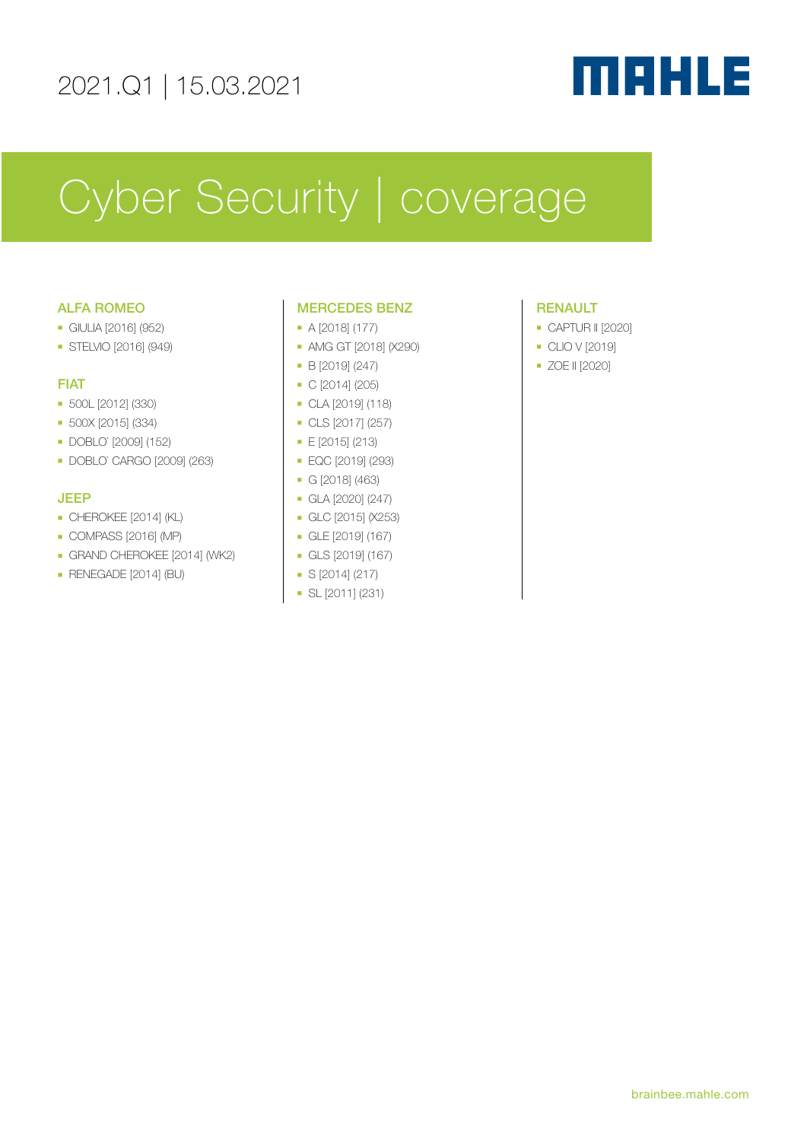# MAHLE

# Cyber Security | coverage

# ALFA ROMEO

- <sup>n</sup> GIULIA [2016] (952)
- **B** STELVIO [2016] (949)

# FIAT

- <sup>n</sup> 500L [2012] (330)
- <sup>n</sup> 500X [2015] (334)
- <sup>n</sup> DOBLO` [2009] (152)
- <sup>n</sup> DOBLO` CARGO [2009] (263)

# JEEP

- $\blacksquare$  CHEROKEE [2014] (KL)
- $\bullet$  COMPASS [2016] (MP)
- **GRAND CHEROKEE [2014] (WK2)**
- RENEGADE [2014] (BU)

# MERCEDES BENZ

- $\bullet$  A [2018] (177)
- **AMG GT [2018] (X290)**
- $B [2019] (247)$
- $\bullet$  C [2014] (205)
- <sup>n</sup> CLA [2019] (118)
- <sup>n</sup> CLS [2017] (257)
- <sup>n</sup> E [2015] (213)
- <sup>n</sup> EQC [2019] (293)
- <sup>n</sup> G [2018] (463)
- $\blacksquare$  GLA [2020] (247)
- <sup>n</sup> GLC [2015] (X253)
- <sup>n</sup> GLE [2019] (167)
- <sup>n</sup> GLS [2019] (167)
- $S$  [2014] (217)
- **No. 5** SL [2011] (231)

# RENAULT

- **CAPTUR II [2020]**
- **CLIO V [2019]**
- <sup>n</sup> ZOE II [2020]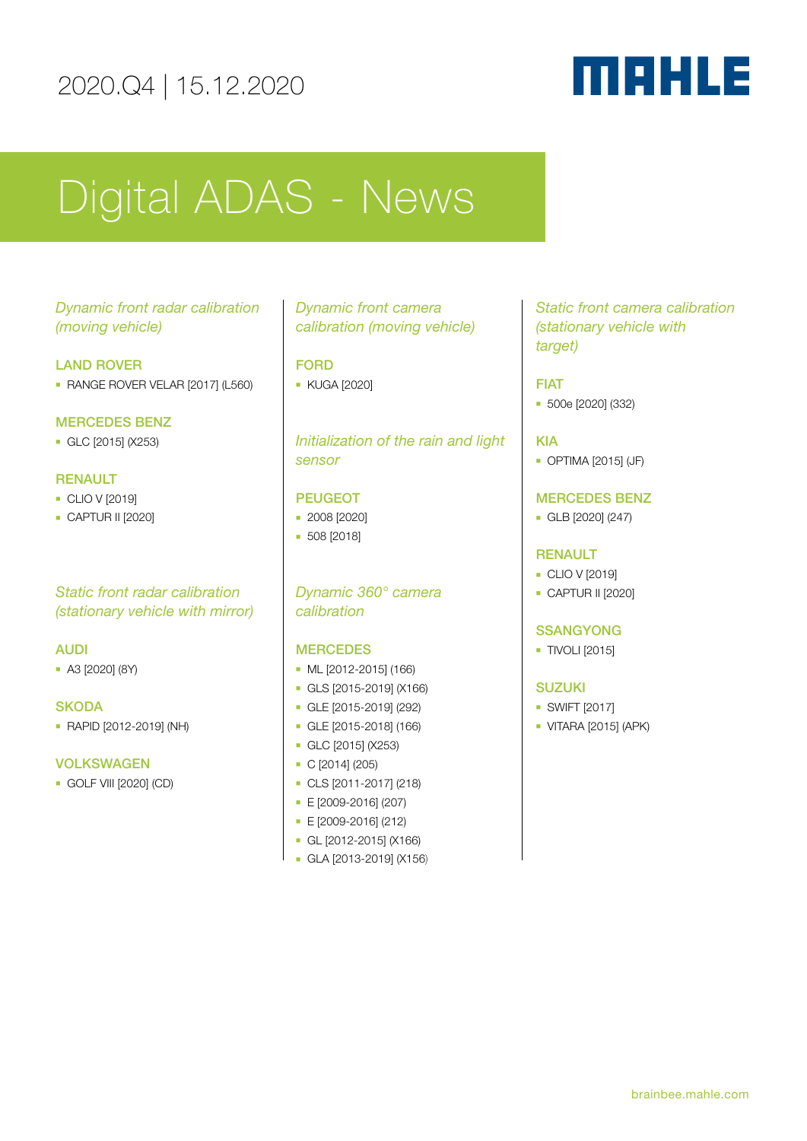# 2020.Q4 | 15.12.2020

# MAHLE

# Digital ADAS - News

# *Dynamic front radar calibration (moving vehicle)*

# LAND ROVER

**RANGE ROVER VELAR [2017] (L560)** 

# MERCEDES BENZ

<sup>n</sup> GLC [2015] (X253)

# RENAULT

- $CLO V$  [2019]
- **CAPTUR II [2020]**

# *Static front radar calibration (stationary vehicle with mirror)*

## AUDI

<sup>n</sup> A3 [2020] (8Y)

### **SKODA**

<sup>n</sup> RAPID [2012-2019] (NH)

## VOLKSWAGEN

**GOLF VIII [2020] (CD)** 

# *Dynamic front camera calibration (moving vehicle)*

# FORD

**KUGA [2020]** 

# *Initialization of the rain and light sensor*

## PEUGEOT

- **2008 [2020]**
- **508** [2018]

# *Dynamic 360° camera calibration*

## **MERCEDES**

- $ML$  [2012-2015] (166)
- <sup>n</sup> GLS [2015-2019] (X166)
- <sup>n</sup> GLE [2015-2019] (292)
- <sup>n</sup> GLE [2015-2018] (166)
- <sup>n</sup> GLC [2015] (X253)
- $C$  [2014] (205)
- <sup>n</sup> CLS [2011-2017] (218)
- <sup>n</sup> E [2009-2016] (207)
- <sup>n</sup> E [2009-2016] (212)
- $-$  GL [2012-2015] (X166)
- <sup>n</sup> GLA [2013-2019] (X156)

# *Static front camera calibration (stationary vehicle with target)*

# FIAT

<sup>n</sup> 500e [2020] (332)

# KIA

**• OPTIMA [2015] (JF)** 

# MERCEDES BENZ

 $GLB$  [2020] (247)

# **RENAULT**

- **CLIO V [2019]**
- **CAPTUR II [2020]**

# **SSANGYONG**

**TIVOLI [2015]** 

### SUZUKI

- $\blacksquare$  SWIFT [2017]
- $\blacksquare$  VITARA [2015] (APK)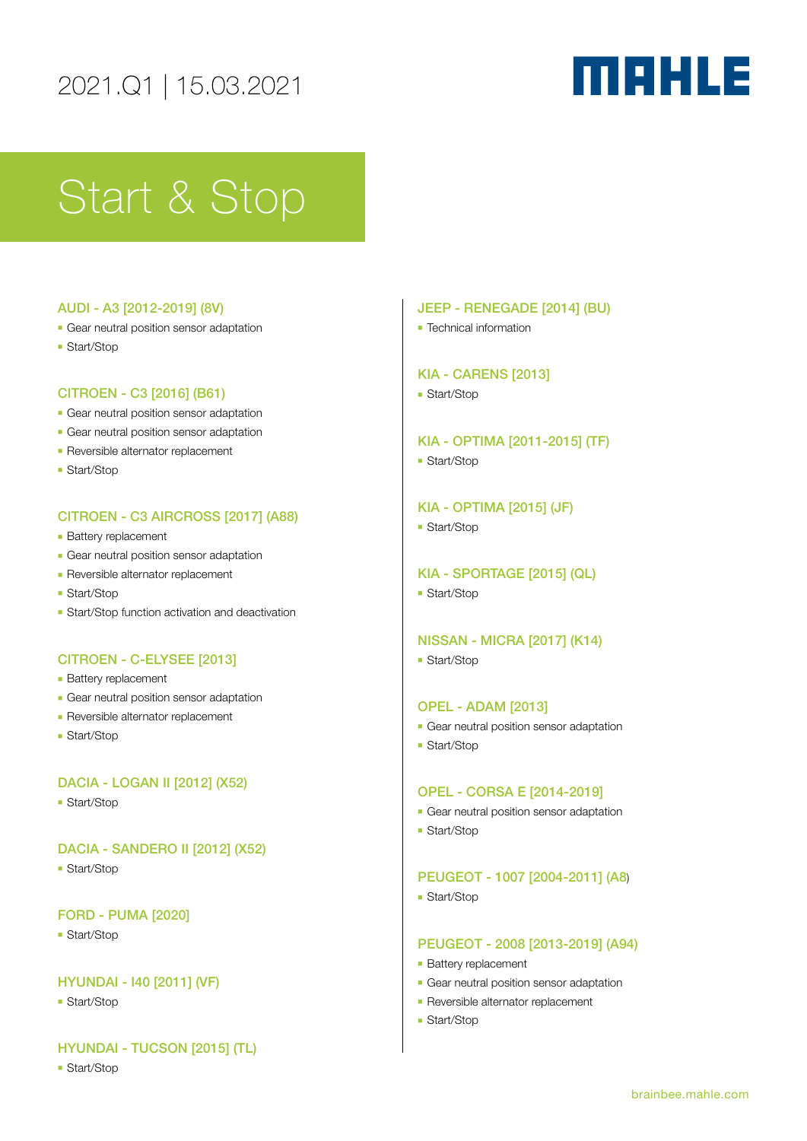# MAHLE

# Start & Stop

### AUDI - A3 [2012-2019] (8V)

- **Gear neutral position sensor adaptation**
- **Start/Stop**

## CITROEN - C3 [2016] (B61)

- **-** Gear neutral position sensor adaptation
- **-** Gear neutral position sensor adaptation
- **Reversible alternator replacement**
- **Start/Stop**

## CITROEN - C3 AIRCROSS [2017] (A88)

- **Battery replacement**
- **Gear neutral position sensor adaptation**
- **Reversible alternator replacement**
- **Start/Stop**
- **Example 3** Start/Stop function activation and deactivation

## CITROEN - C-ELYSEE [2013]

- **Battery replacement**
- **Gear neutral position sensor adaptation**
- **Reversible alternator replacement**
- Start/Stop

### DACIA - LOGAN II [2012] (X52)

**- Start/Stop** 

# DACIA - SANDERO II [2012] (X52)

**- Start/Stop** 

### FORD - PUMA [2020]

**- Start/Stop** 

### HYUNDAI - I40 [2011] (VF)

**- Start/Stop** 

# HYUNDAI - TUCSON [2015] (TL)

**- Start/Stop** 

### JEEP - RENEGADE [2014] (BU)

**F** Technical information

### KIA - CARENS [2013]

■ Start/Stop

KIA - OPTIMA [2011-2015] (TF)

**Start/Stop** 

# KIA - OPTIMA [2015] (JF)

**- Start/Stop** 

### KIA - SPORTAGE [2015] (QL)

**- Start/Stop** 

## NISSAN - MICRA [2017] (K14)

**Start/Stop** 

### OPEL - ADAM [2013]

- **Gear neutral position sensor adaptation**
- **Start/Stop**

### OPEL - CORSA E [2014-2019]

- **Gear neutral position sensor adaptation**
- Start/Stop

### PEUGEOT - 1007 [2004-2011] (A8)

**- Start/Stop** 

## PEUGEOT - 2008 [2013-2019] (A94)

- **Battery replacement**
- **Gear neutral position sensor adaptation**
- **Reversible alternator replacement**
- <sup>n</sup> Start/Stop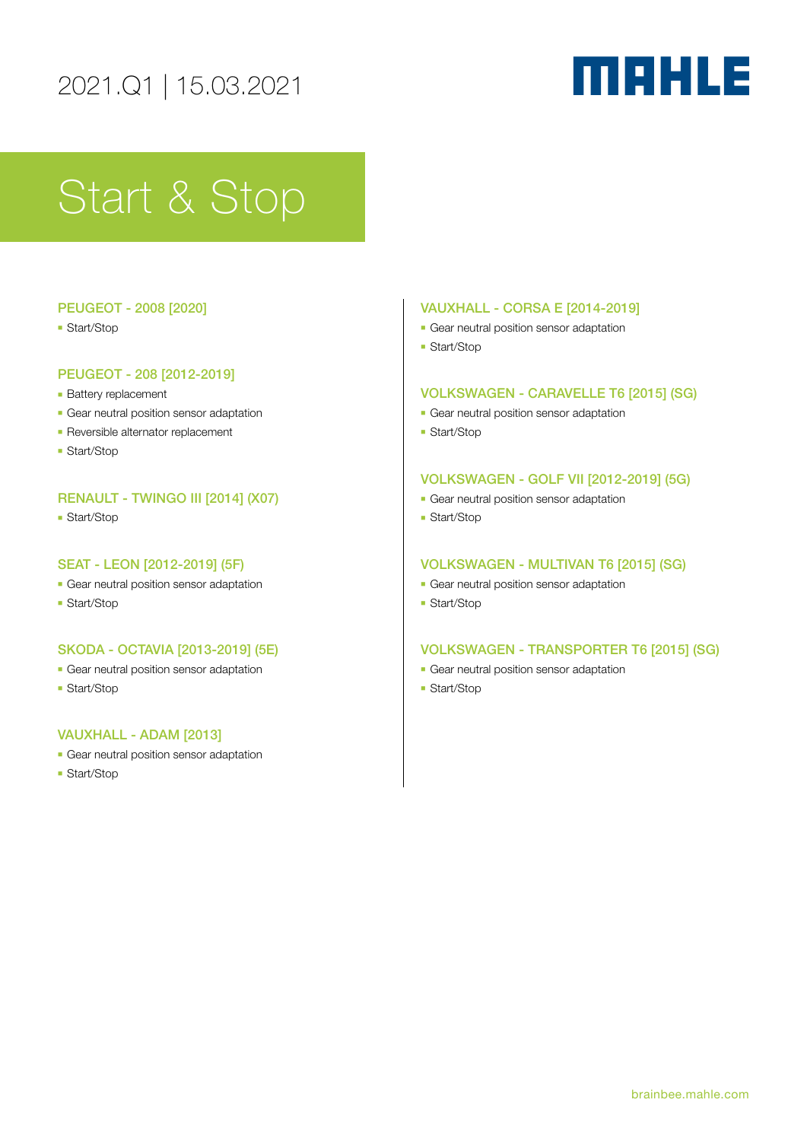# MAHLE

# Start & Stop

## PEUGEOT - 2008 [2020]

**- Start/Stop** 

## PEUGEOT - 208 [2012-2019]

- **Battery replacement**
- **-** Gear neutral position sensor adaptation
- **Reversible alternator replacement**
- **Start/Stop**

# RENAULT - TWINGO III [2014] (X07)

**- Start/Stop** 

## SEAT - LEON [2012-2019] (5F)

- **n** Gear neutral position sensor adaptation
- **Start/Stop**

### SKODA - OCTAVIA [2013-2019] (5E)

- **Gear neutral position sensor adaptation**
- **Start/Stop**

# VAUXHALL - ADAM [2013]

- **Gear neutral position sensor adaptation**
- **Start/Stop**

### VAUXHALL - CORSA E [2014-2019]

- **-** Gear neutral position sensor adaptation
- **Start/Stop**

## VOLKSWAGEN - CARAVELLE T6 [2015] (SG)

- **-** Gear neutral position sensor adaptation
- **Start/Stop**

### VOLKSWAGEN - GOLF VII [2012-2019] (5G)

- **Gear neutral position sensor adaptation**
- **Start/Stop**

## VOLKSWAGEN - MULTIVAN T6 [2015] (SG)

- **Gear neutral position sensor adaptation**
- **Start/Stop**

### VOLKSWAGEN - TRANSPORTER T6 [2015] (SG)

- **-** Gear neutral position sensor adaptation
- **Start/Stop**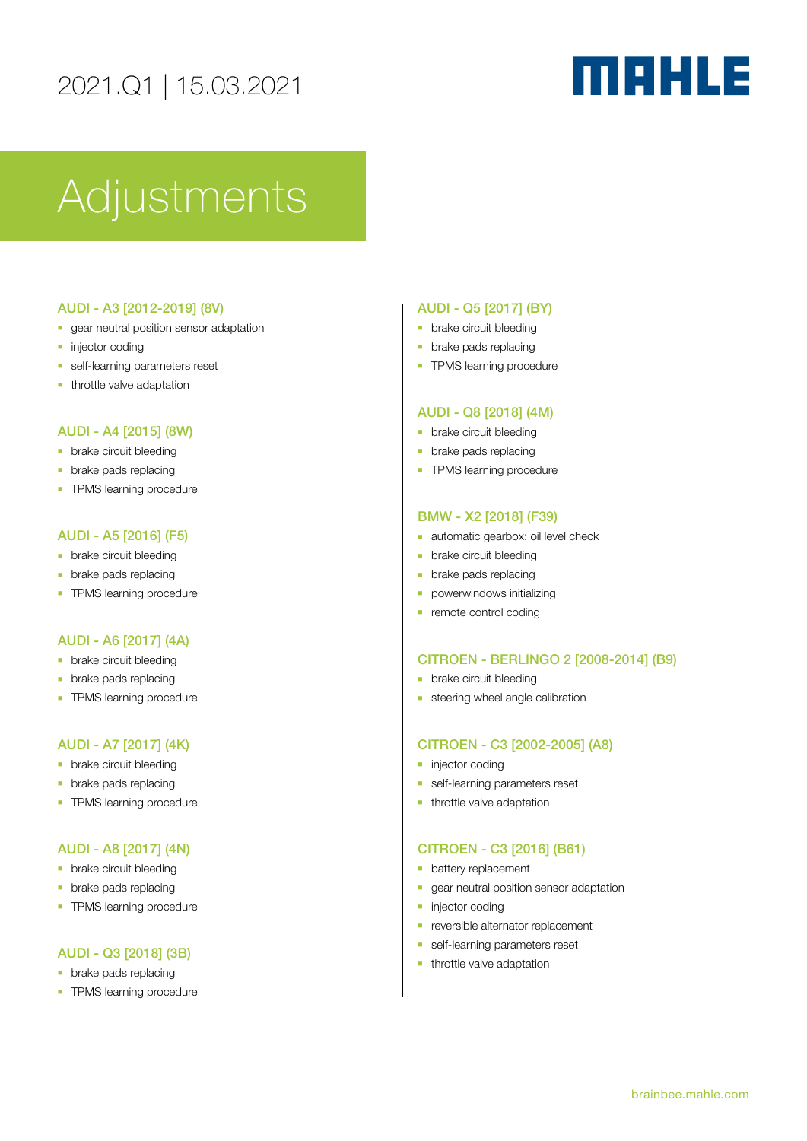# MAHLE

# Adjustments

### AUDI - A3 [2012-2019] (8V)

- **n** gear neutral position sensor adaptation
- $\blacksquare$  injector coding
- **n** self-learning parameters reset
- $\blacksquare$  throttle valve adaptation

# AUDI - A4 [2015] (8W)

- **n** brake circuit bleeding
- $\blacksquare$  brake pads replacing
- **n** TPMS learning procedure

### AUDI - A5 [2016] (F5)

- **•** brake circuit bleeding
- $\blacksquare$  brake pads replacing
- **TPMS** learning procedure

#### AUDI - A6 [2017] (4A)

- **n** brake circuit bleeding
- **•** brake pads replacing
- **TPMS** learning procedure

### AUDI - A7 [2017] (4K)

- **n** brake circuit bleeding
- $\blacksquare$  brake pads replacing
- **n** TPMS learning procedure

### AUDI - A8 [2017] (4N)

- **•** brake circuit bleeding
- **n** brake pads replacing
- **TPMS** learning procedure

#### AUDI - Q3 [2018] (3B)

- $\blacksquare$  brake pads replacing
- **TPMS** learning procedure

#### AUDI - Q5 [2017] (BY)

- **•** brake circuit bleeding
- $\blacksquare$  brake pads replacing
- **TPMS** learning procedure

#### AUDI - Q8 [2018] (4M)

- **n** brake circuit bleeding
- $\blacksquare$  brake pads replacing
- **TPMS** learning procedure

#### BMW - X2 [2018] (F39)

- **n** automatic gearbox: oil level check
- brake circuit bleeding
- $\blacksquare$  brake pads replacing
- **•** powerwindows initializing
- $\blacksquare$  remote control coding

#### CITROEN - BERLINGO 2 [2008-2014] (B9)

- **•** brake circuit bleeding
- $\blacksquare$  steering wheel angle calibration

### CITROEN - C3 [2002-2005] (A8)

- **n** injector coding
- self-learning parameters reset
- $\blacksquare$  throttle valve adaptation

#### CITROEN - C3 [2016] (B61)

- **•** battery replacement
- **-** gear neutral position sensor adaptation
- niector coding
- **n** reversible alternator replacement
- **n** self-learning parameters reset
- $\blacksquare$  throttle valve adaptation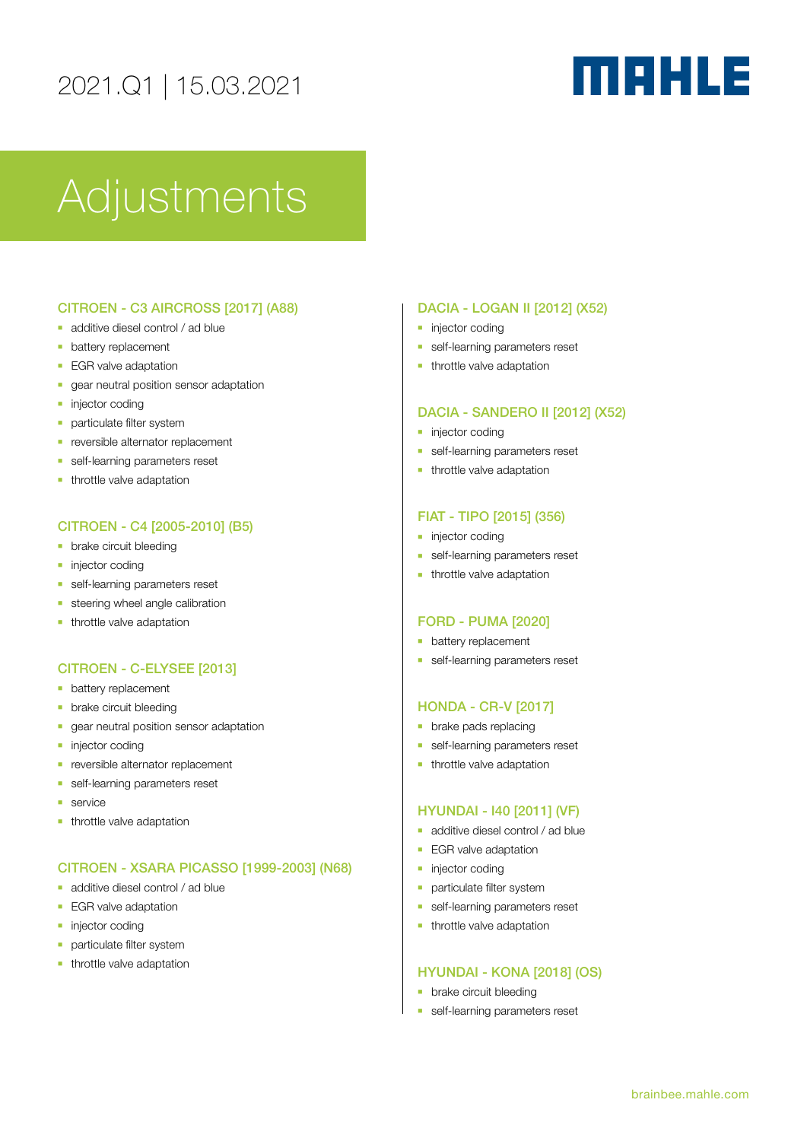# MAHLE

# Adjustments

# CITROEN - C3 AIRCROSS [2017] (A88)

- additive diesel control / ad blue
- **•** battery replacement
- **EGR** valve adaptation
- **n** gear neutral position sensor adaptation
- **n** injector coding
- **n** particulate filter system
- **n** reversible alternator replacement
- **n** self-learning parameters reset
- **n** throttle valve adaptation

# CITROEN - C4 [2005-2010] (B5)

- **n** brake circuit bleeding
- **n** injector coding
- **n** self-learning parameters reset
- $e$  steering wheel angle calibration
- **n** throttle valve adaptation

## CITROEN - C-ELYSEE [2013]

- **•** battery replacement
- **•** brake circuit bleeding
- **n** gear neutral position sensor adaptation
- niector coding
- **n** reversible alternator replacement
- **n** self-learning parameters reset
- $l$  service
- **n** throttle valve adaptation

## CITROEN - XSARA PICASSO [1999-2003] (N68)

- additive diesel control / ad blue
- **EGR** valve adaptation
- **n** injector coding
- **n** particulate filter system
- $\blacksquare$  throttle valve adaptation

#### DACIA - LOGAN II [2012] (X52)

- $\blacksquare$  injector coding
- **n** self-learning parameters reset
- $\blacksquare$  throttle valve adaptation

# DACIA - SANDERO II [2012] (X52)

- **n** injector coding
- **n** self-learning parameters reset
- $\blacksquare$  throttle valve adaptation

#### FIAT - TIPO [2015] (356)

- **n** injector coding
- **n** self-learning parameters reset
- **n** throttle valve adaptation

#### FORD - PUMA [2020]

- **n** battery replacement
- **n** self-learning parameters reset

#### HONDA - CR-V [2017]

- $\blacksquare$  brake pads replacing
- **n** self-learning parameters reset
- $\blacksquare$  throttle valve adaptation

#### HYUNDAI - I40 [2011] (VF)

- $\blacksquare$  additive diesel control / ad blue
- **EGR** valve adaptation
- $\blacksquare$  injector coding
- **-** particulate filter system
- **n** self-learning parameters reset
- $\blacksquare$  throttle valve adaptation

#### HYUNDAI - KONA [2018] (OS)

- **n** brake circuit bleeding
- **n** self-learning parameters reset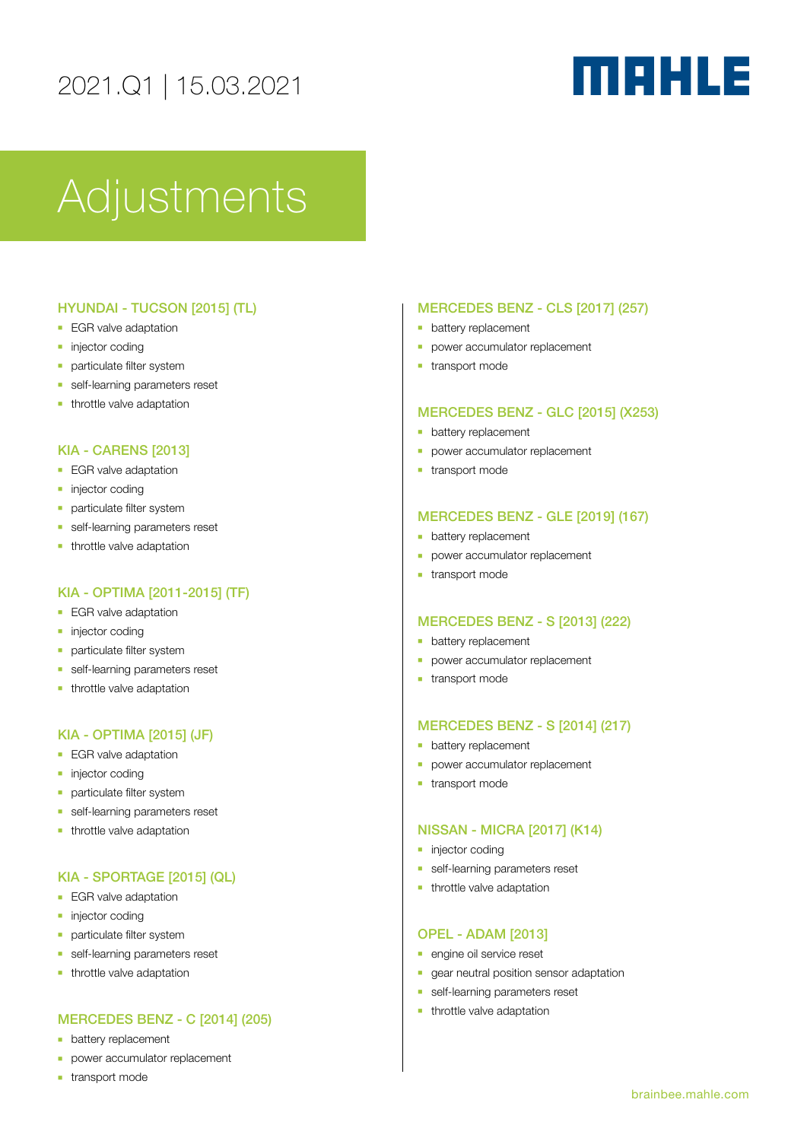# MAHLE

# **Adjustments**

# HYUNDAI - TUCSON [2015] (TL)

- **EGR** valve adaptation
- $\blacksquare$  injector coding
- **n** particulate filter system
- **n** self-learning parameters reset
- $\blacksquare$  throttle valve adaptation

## KIA - CARENS [2013]

- **EGR** valve adaptation
- **n** injector coding
- **n** particulate filter system
- **n** self-learning parameters reset
- $-$  throttle valve adaptation

# KIA - OPTIMA [2011-2015] (TF)

- **EGR** valve adaptation
- niector coding
- **n** particulate filter system
- **n** self-learning parameters reset
- $\blacksquare$  throttle valve adaptation

# KIA - OPTIMA [2015] (JF)

- **EGR** valve adaptation
- **n** injector coding
- **particulate filter system**
- **n** self-learning parameters reset
- **n** throttle valve adaptation

# KIA - SPORTAGE [2015] (QL)

- **EGR** valve adaptation
- niector coding
- **n** particulate filter system
- **n** self-learning parameters reset
- $\blacksquare$  throttle valve adaptation

# MERCEDES BENZ - C [2014] (205)

- **n** battery replacement
- **•** power accumulator replacement
- $\blacksquare$  transport mode

## MERCEDES BENZ - CLS [2017] (257)

- **•** battery replacement
- **power accumulator replacement**
- $-$  transport mode

### MERCEDES BENZ - GLC [2015] (X253)

- **n** battery replacement
- **p** power accumulator replacement
- $-$  transport mode

### MERCEDES BENZ - GLE [2019] (167)

- **•** battery replacement
- **power accumulator replacement**
- $-$  transport mode

### MERCEDES BENZ - S [2013] (222)

- **•** battery replacement
- **-** power accumulator replacement
- $\blacksquare$  transport mode

### MERCEDES BENZ - S [2014] (217)

- **•** battery replacement
- **p** power accumulator replacement
- $-$  transport mode

### NISSAN - MICRA [2017] (K14)

- niector coding
- **n** self-learning parameters reset
- $\blacksquare$  throttle valve adaptation

# OPEL - ADAM [2013]

- **n** engine oil service reset
- **n** gear neutral position sensor adaptation
- **n** self-learning parameters reset
- $\blacksquare$  throttle valve adaptation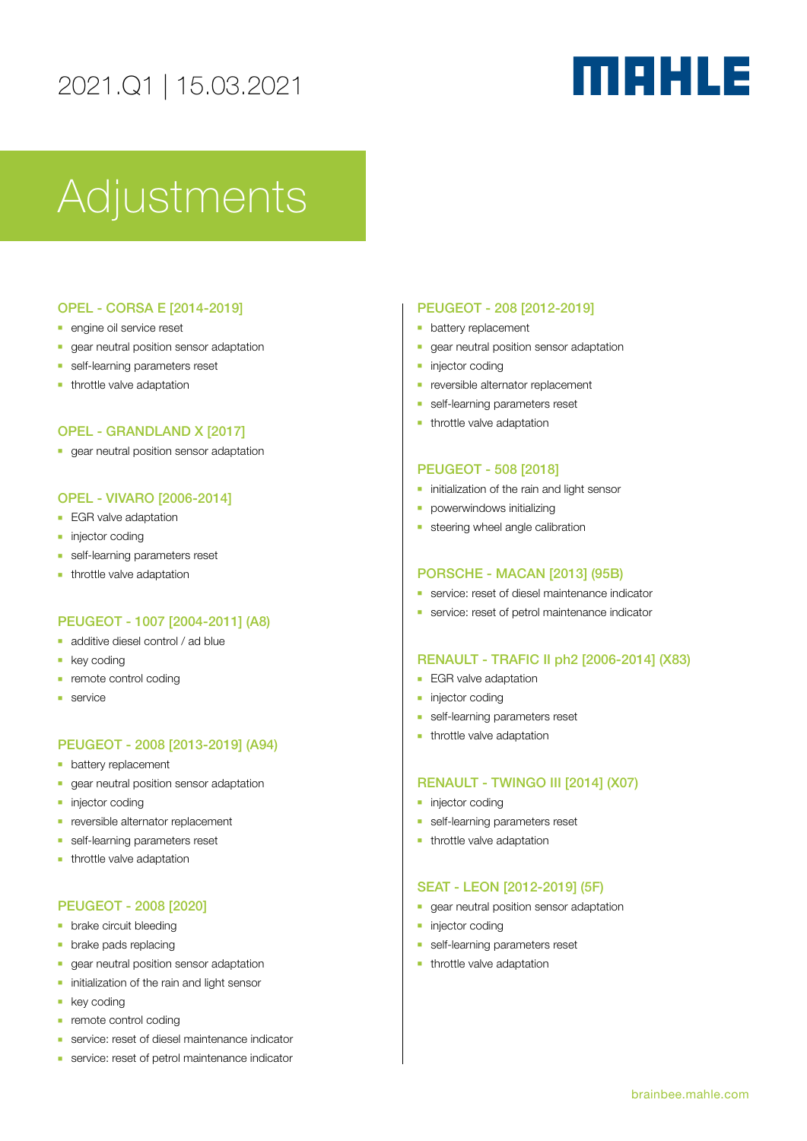# MAHLE

# **Adjustments**

# OPEL - CORSA E [2014-2019]

- **n** engine oil service reset
- n gear neutral position sensor adaptation
- **n** self-learning parameters reset
- $\blacksquare$  throttle valve adaptation

### OPEL - GRANDLAND X [2017]

**n** gear neutral position sensor adaptation

## OPEL - VIVARO [2006-2014]

- **EGR** valve adaptation
- **n** injector coding
- **n** self-learning parameters reset
- $\blacksquare$  throttle valve adaptation

# PEUGEOT - 1007 [2004-2011] (A8)

- $\blacksquare$  additive diesel control / ad blue
- **key coding**
- remote control coding
- <sup>n</sup> service

### PEUGEOT - 2008 [2013-2019] (A94)

- **•** battery replacement
- n gear neutral position sensor adaptation
- injector coding
- reversible alternator replacement
- **n** self-learning parameters reset
- $-$  throttle valve adaptation

### PEUGEOT - 2008 [2020]

- **•** brake circuit bleeding
- $\blacksquare$  brake pads replacing
- n gear neutral position sensor adaptation
- nitialization of the rain and light sensor
- $\blacksquare$  key coding
- $n$  remote control coding
- **E** service: reset of diesel maintenance indicator
- **n** service: reset of petrol maintenance indicator

#### PEUGEOT - 208 [2012-2019]

- **•** battery replacement
- **n** gear neutral position sensor adaptation
- niector coding
- **n** reversible alternator replacement
- **n** self-learning parameters reset
- $\blacksquare$  throttle valve adaptation

### PEUGEOT - 508 [2018]

- $\blacksquare$  initialization of the rain and light sensor
- **-** powerwindows initializing
- $\blacksquare$  steering wheel angle calibration

#### PORSCHE - MACAN [2013] (95B)

- **n** service: reset of diesel maintenance indicator
- **E** service: reset of petrol maintenance indicator

#### RENAULT - TRAFIC II ph2 [2006-2014] (X83)

- **EGR** valve adaptation
- **n** injector coding
- **n** self-learning parameters reset
- $\blacksquare$  throttle valve adaptation

### RENAULT - TWINGO III [2014] (X07)

- niector coding
- self-learning parameters reset
- $\blacksquare$  throttle valve adaptation

#### SEAT - LEON [2012-2019] (5F)

- **n** gear neutral position sensor adaptation
- **n** injector coding
- **n** self-learning parameters reset
- $\blacksquare$  throttle valve adaptation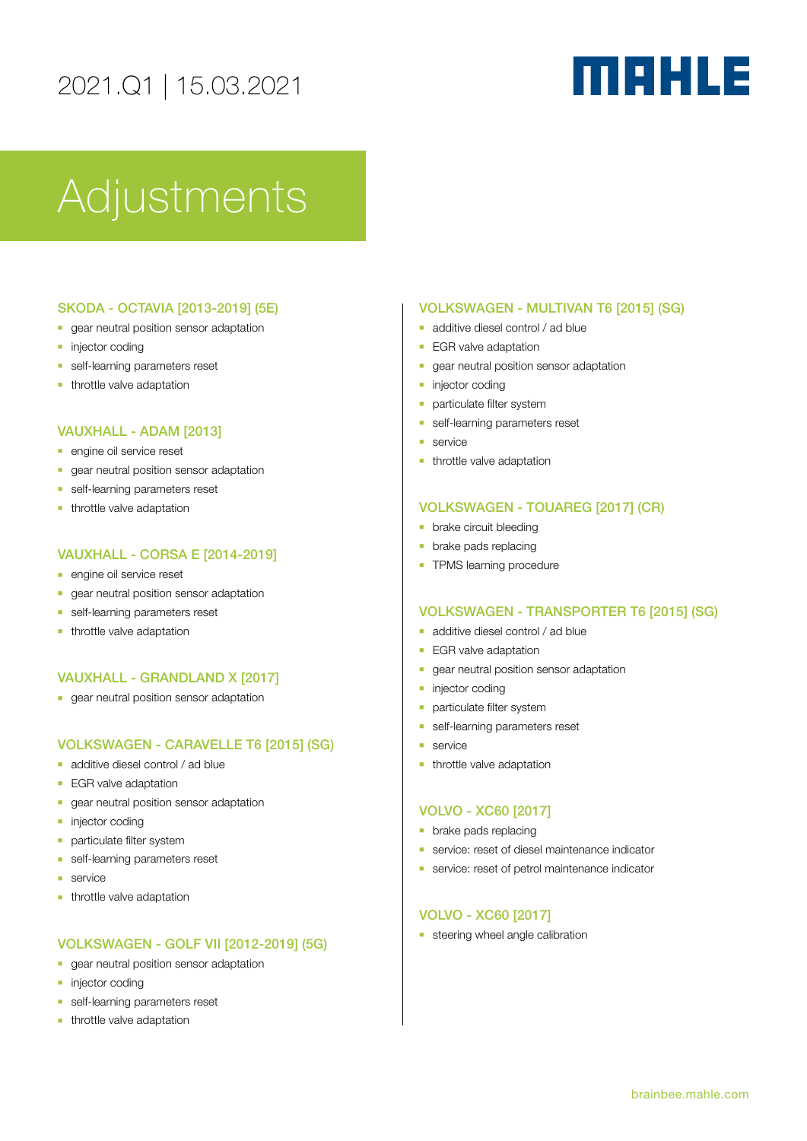# MAHLE

# Adjustments

## SKODA - OCTAVIA [2013-2019] (5E)

- **n** gear neutral position sensor adaptation
- $\blacksquare$  injector coding
- **n** self-learning parameters reset
- $\blacksquare$  throttle valve adaptation

# VAUXHALL - ADAM [2013]

- **n** engine oil service reset
- gear neutral position sensor adaptation
- **n** self-learning parameters reset
- $\blacksquare$  throttle valve adaptation

## VAUXHALL - CORSA E [2014-2019]

- **n** engine oil service reset
- n gear neutral position sensor adaptation
- **n** self-learning parameters reset
- $\blacksquare$  throttle valve adaptation

# VAUXHALL - GRANDLAND X [2017]

**n** gear neutral position sensor adaptation

# VOLKSWAGEN - CARAVELLE T6 [2015] (SG)

- n additive diesel control / ad blue
- **EGR** valve adaptation
- **n** gear neutral position sensor adaptation
- $\blacksquare$  injector coding
- **n** particulate filter system
- self-learning parameters reset
- service
- $-$  throttle valve adaptation

# VOLKSWAGEN - GOLF VII [2012-2019] (5G)

- n gear neutral position sensor adaptation
- **n** injector coding
- **n** self-learning parameters reset
- $\blacksquare$  throttle valve adaptation

#### VOLKSWAGEN - MULTIVAN T6 [2015] (SG)

- $\blacksquare$  additive diesel control / ad blue
- **EGR** valve adaptation
- <sup>n</sup> gear neutral position sensor adaptation
- $\blacksquare$  injector coding
- **n** particulate filter system
- **n** self-learning parameters reset
- $s$ ervice
- $-$  throttle valve adaptation

#### VOLKSWAGEN - TOUAREG [2017] (CR)

- **•** brake circuit bleeding
- $\blacksquare$  brake pads replacing
- **TPMS learning procedure**

#### VOLKSWAGEN - TRANSPORTER T6 [2015] (SG)

- **n** additive diesel control / ad blue
- **EGR** valve adaptation
- **n** gear neutral position sensor adaptation
- niector coding
- <sup>n</sup> particulate filter system
- self-learning parameters reset
- service
- $\blacksquare$  throttle valve adaptation

#### VOLVO - XC60 [2017]

- $\blacksquare$  brake pads replacing
- **n** service: reset of diesel maintenance indicator
- **E** service: reset of petrol maintenance indicator

### VOLVO - XC60 [2017]

 $\blacksquare$  steering wheel angle calibration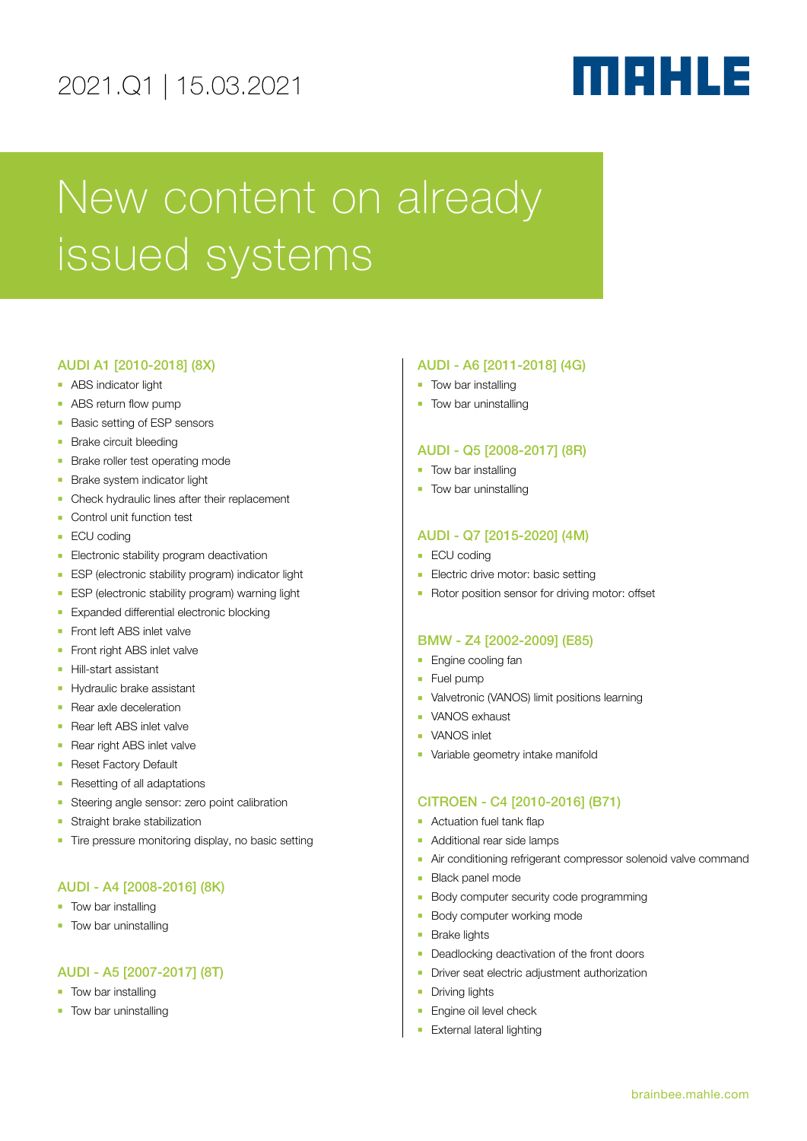# MAHLE

# New content on already issued systems

## AUDI A1 [2010-2018] (8X)

- **ABS** indicator light
- $\blacksquare$  ABS return flow pump
- Basic setting of ESP sensors
- **Brake circuit bleeding**
- **Brake roller test operating mode**
- **Brake system indicator light**
- Check hydraulic lines after their replacement
- Control unit function test
- ECU coding
- **Electronic stability program deactivation**
- **ESP** (electronic stability program) indicator light
- **ESP** (electronic stability program) warning light
- **Expanded differential electronic blocking**
- Front left ABS inlet valve
- Front right ABS inlet valve
- **Hill-start assistant**
- **Hydraulic brake assistant**
- **Rear axle deceleration**
- **Rear left ABS inlet valvel**
- Rear right ABS inlet valve
- **Reset Factory Default**
- **Resetting of all adaptations**
- Steering angle sensor: zero point calibration
- Straight brake stabilization
- **Tire pressure monitoring display, no basic setting**

# AUDI - A4 [2008-2016] (8K)

- **n** Tow bar installing
- Tow bar uninstalling

# AUDI - A5 [2007-2017] (8T)

- Tow bar installing
- **n** Tow bar uninstalling

## AUDI - A6 [2011-2018] (4G)

- **Tow bar installing**
- $\blacksquare$  Tow bar uninstalling

## AUDI - Q5 [2008-2017] (8R)

- $\blacksquare$  Tow bar installing
- **n** Tow bar uninstalling

# AUDI - Q7 [2015-2020] (4M)

- **ECU** coding
- **Electric drive motor: basic setting**
- Rotor position sensor for driving motor: offset

### BMW - Z4 [2002-2009] (E85)

- **Engine cooling fan**
- $Fuel$  pump
- **•** Valvetronic (VANOS) limit positions learning
- **NANOS** exhaust
- **NANOS** inlet
- Variable geometry intake manifold

### CITROEN - C4 [2010-2016] (B71)

- **-** Actuation fuel tank flap
- **Additional rear side lamps**
- n Air conditioning refrigerant compressor solenoid valve command
- **Black panel mode**
- **Body computer security code programming**
- **Body computer working mode**
- **Brake lights**
- Deadlocking deactivation of the front doors
- **-** Driver seat electric adjustment authorization
- **•** Driving lights
- **Engine oil level check**
- External lateral lighting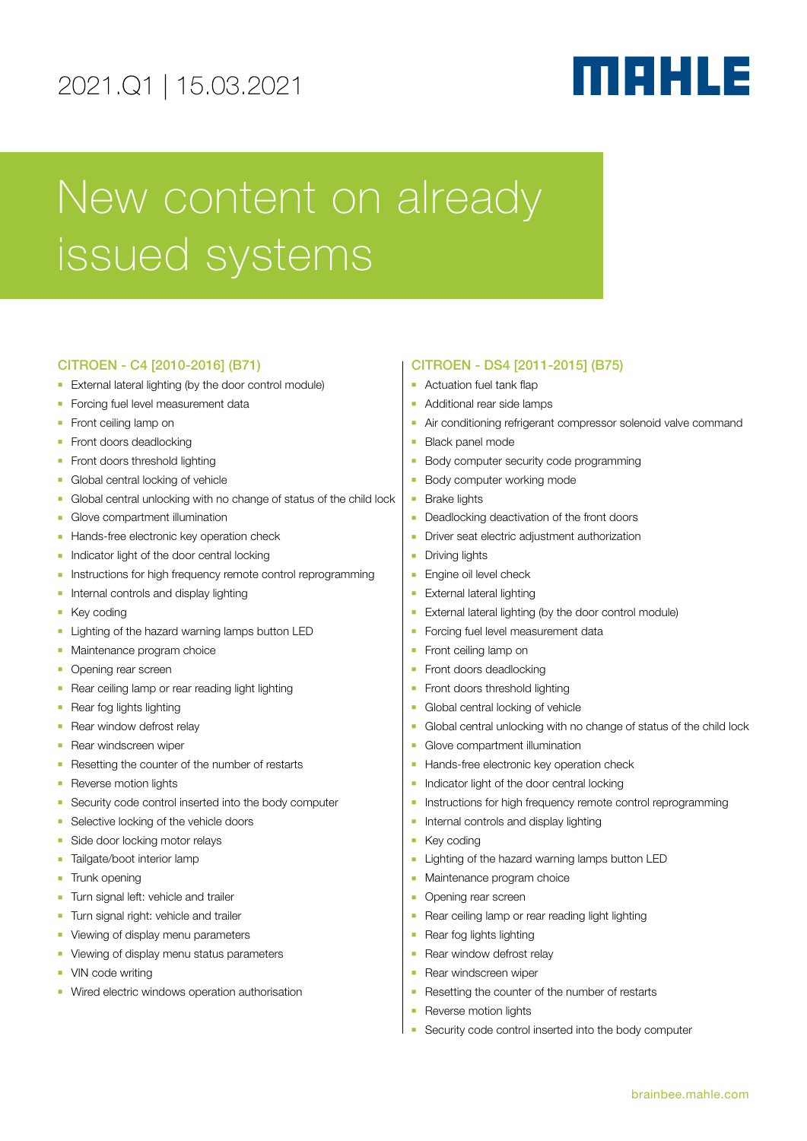# MAHLE

# New content on already issued systems

# CITROEN - C4 [2010-2016] (B71)

- **External lateral lighting (by the door control module)**
- Forcing fuel level measurement data
- **Front ceiling lamp on**
- Front doors deadlocking
- Front doors threshold lighting
- Global central locking of vehicle
- <sup>n</sup> Global central unlocking with no change of status of the child lock
- Glove compartment illumination
- **Hands-free electronic key operation check**
- n Indicator light of the door central locking
- **n** Instructions for high frequency remote control reprogramming
- $\blacksquare$  Internal controls and display lighting
- **Key coding**
- **Example 1** Lighting of the hazard warning lamps button LED
- **Naintenance program choice**
- Opening rear screen
- Rear ceiling lamp or rear reading light lighting
- Rear fog lights lighting
- Rear window defrost relay
- Rear windscreen wiper
- Resetting the counter of the number of restarts
- Reverse motion lights
- Security code control inserted into the body computer
- Selective locking of the vehicle doors
- Side door locking motor relays
- Tailgate/boot interior lamp
- **n** Trunk opening
- Turn signal left: vehicle and trailer
- **Turn signal right: vehicle and trailer**
- Viewing of display menu parameters
- Viewing of display menu status parameters
- VIN code writing
- Wired electric windows operation authorisation

### CITROEN - DS4 [2011-2015] (B75)

- **-** Actuation fuel tank flap
- Additional rear side lamps
- **Air conditioning refrigerant compressor solenoid valve command**
- **Black panel mode**
- **Body computer security code programming**
- **Body computer working mode**
- $B$ rake lights
- Deadlocking deactivation of the front doors
- **•** Driver seat electric adjustment authorization
- **Driving lights**
- **Engine oil level check**
- External lateral lighting
- **External lateral lighting (by the door control module)**
- Forcing fuel level measurement data
- **Front ceiling lamp on**
- Front doors deadlocking
- Front doors threshold lighting
- Global central locking of vehicle
- <sup>n</sup> Global central unlocking with no change of status of the child lock
- Glove compartment illumination
- **Hands-free electronic key operation check**
- n Indicator light of the door central locking
- **n** Instructions for high frequency remote control reprogramming
- Internal controls and display lighting
- $\blacksquare$  Key coding
- **Example 1** Lighting of the hazard warning lamps button LED
- Maintenance program choice
- Opening rear screen
- Rear ceiling lamp or rear reading light lighting
- Rear fog lights lighting
- Rear window defrost relay
	- Rear windscreen wiper
	- Resetting the counter of the number of restarts
	- Reverse motion lights
	- Security code control inserted into the body computer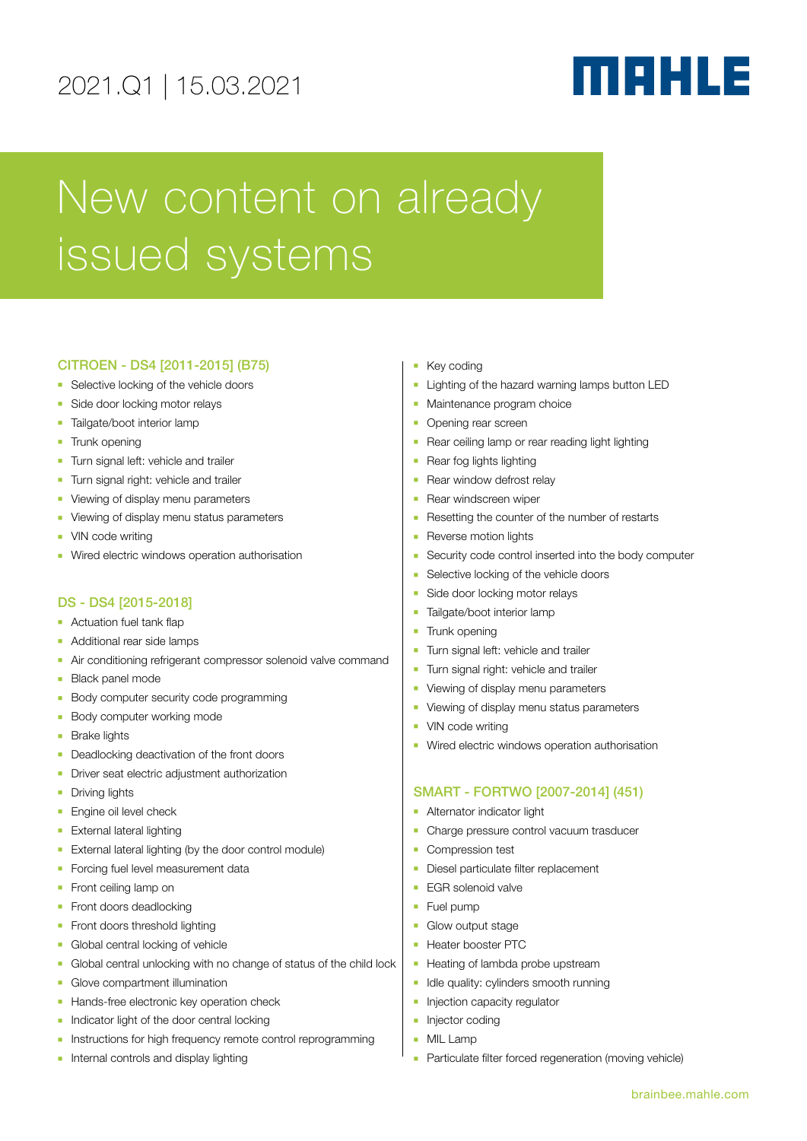# MAHLE

# New content on already issued systems

# CITROEN - DS4 [2011-2015] (B75)

- **B** Selective locking of the vehicle doors
- Side door locking motor relays
- **Tailgate/boot interior lamp**
- **n** Trunk opening
- **Turn signal left: vehicle and trailer**
- **Turn signal right: vehicle and trailer**
- Viewing of display menu parameters
- Viewing of display menu status parameters
- **NO VIN code writing**
- Wired electric windows operation authorisation

# DS - DS4 [2015-2018]

- $\blacksquare$  Actuation fuel tank flap
- **Additional rear side lamps**
- **Air conditioning refrigerant compressor solenoid valve command**
- **Black panel mode**
- **Body computer security code programming**
- **Body computer working mode**
- $B$ rake lights
- Deadlocking deactivation of the front doors
- **-** Driver seat electric adjustment authorization
- **n** Driving lights
- **Engine oil level check**
- **External lateral lighting**
- **External lateral lighting (by the door control module)**
- Forcing fuel level measurement data
- **Front ceiling lamp on**
- Front doors deadlocking
- Front doors threshold lighting
- **n** Global central locking of vehicle
- <sup>n</sup> Global central unlocking with no change of status of the child lock
- **n** Glove compartment illumination
- **Hands-free electronic key operation check**
- Indicator light of the door central locking
- **n** Instructions for high frequency remote control reprogramming
- **n** Internal controls and display lighting
- Key coding
- **E** Lighting of the hazard warning lamps button LED
- **n** Maintenance program choice
- Opening rear screen
- Rear ceiling lamp or rear reading light lighting
- $\blacksquare$  Rear fog lights lighting
- Rear window defrost relay
- **Rear windscreen wiper**
- Resetting the counter of the number of restarts
- **Reverse motion lights**
- Security code control inserted into the body computer
- Selective locking of the vehicle doors
- Side door locking motor relays
- **n** Tailgate/boot interior lamp
- Trunk opening
- Turn signal left: vehicle and trailer
- Turn signal right: vehicle and trailer
- Viewing of display menu parameters
- Viewing of display menu status parameters
- VIN code writing
- Wired electric windows operation authorisation

### SMART - FORTWO [2007-2014] (451)

- **-** Alternator indicator light
- **-** Charge pressure control vacuum trasducer
- **Compression test**
- **Diesel particulate filter replacement**
- **EGR** solenoid valve
- **Fuel pump**
- **n** Glow output stage
- Heater booster PTC
- Heating of lambda probe upstream
- Idle quality: cylinders smooth running
- Injection capacity regulator
- $\blacksquare$  Injector coding
- **NIL Lamp**
- Particulate filter forced regeneration (moving vehicle)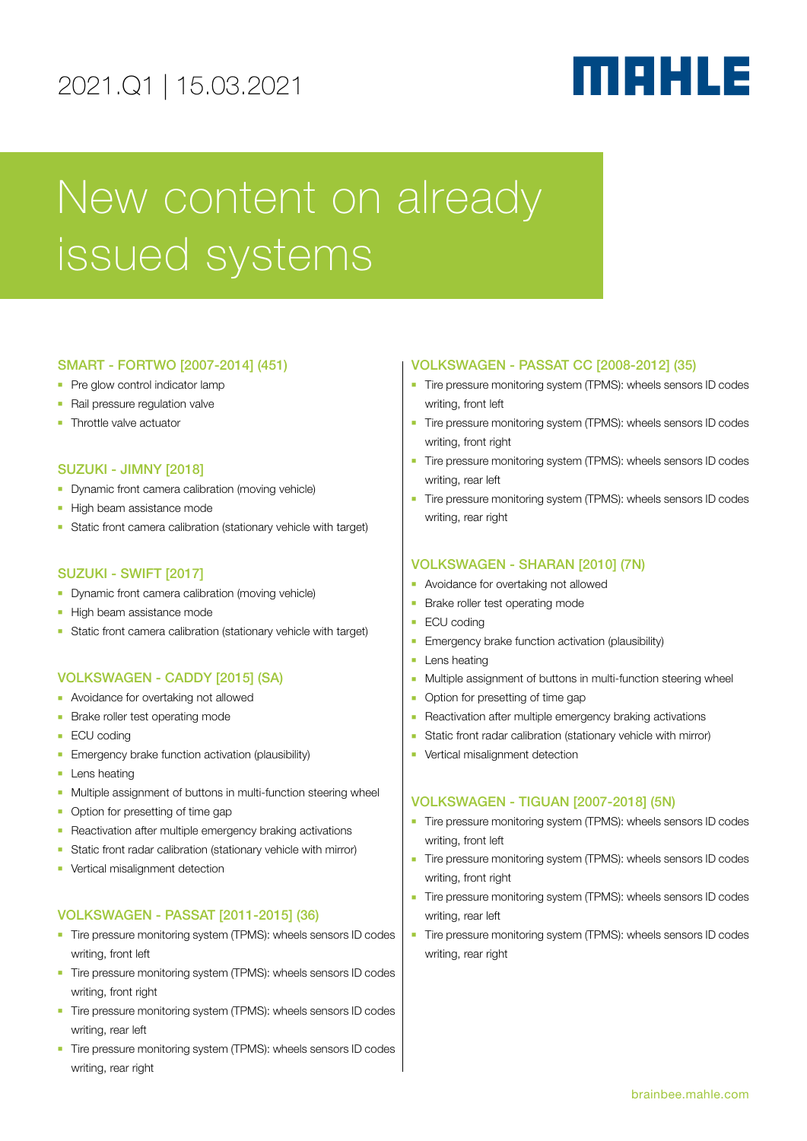# MAHLE

# New content on already issued systems

# SMART - FORTWO [2007-2014] (451)

- $\blacksquare$  Pre glow control indicator lamp
- Rail pressure regulation valve
- **n** Throttle valve actuator

## SUZUKI - JIMNY [2018]

- **-** Dynamic front camera calibration (moving vehicle)
- High beam assistance mode
- <sup>n</sup> Static front camera calibration (stationary vehicle with target)

### SUZUKI - SWIFT [2017]

- Dynamic front camera calibration (moving vehicle)
- **High beam assistance mode**
- <sup>n</sup> Static front camera calibration (stationary vehicle with target)

# VOLKSWAGEN - CADDY [2015] (SA)

- **Avoidance for overtaking not allowed**
- **Brake roller test operating mode**
- **ECU** coding
- **Emergency brake function activation (plausibility)**
- **Lens heating**
- **n** Multiple assignment of buttons in multi-function steering wheel
- Option for presetting of time gap
- **-** Reactivation after multiple emergency braking activations
- Static front radar calibration (stationary vehicle with mirror)
- Vertical misalignment detection

# VOLKSWAGEN - PASSAT [2011-2015] (36)

- Tire pressure monitoring system (TPMS): wheels sensors ID codes writing, front left
- Tire pressure monitoring system (TPMS): wheels sensors ID codes writing, front right
- **n** Tire pressure monitoring system (TPMS): wheels sensors ID codes writing, rear left
- n Tire pressure monitoring system (TPMS): wheels sensors ID codes writing, rear right

# VOLKSWAGEN - PASSAT CC [2008-2012] (35)

- Tire pressure monitoring system (TPMS): wheels sensors ID codes writing, front left
- <sup>n</sup> Tire pressure monitoring system (TPMS): wheels sensors ID codes writing, front right
- **Tire pressure monitoring system (TPMS): wheels sensors ID codes** writing, rear left
- Tire pressure monitoring system (TPMS): wheels sensors ID codes writing, rear right

## VOLKSWAGEN - SHARAN [2010] (7N)

- **•** Avoidance for overtaking not allowed
- **Brake roller test operating mode**
- $ECU$  coding
- **Emergency brake function activation (plausibility)**
- **Lens heating**
- **n** Multiple assignment of buttons in multi-function steering wheel
- Option for presetting of time gap
- Reactivation after multiple emergency braking activations
- **But Static front radar calibration (stationary vehicle with mirror)**
- **•** Vertical misalignment detection

# VOLKSWAGEN - TIGUAN [2007-2018] (5N)

- Tire pressure monitoring system (TPMS): wheels sensors ID codes writing, front left
- Tire pressure monitoring system (TPMS): wheels sensors ID codes writing, front right
- Tire pressure monitoring system (TPMS): wheels sensors ID codes writing, rear left
- Tire pressure monitoring system (TPMS): wheels sensors ID codes writing, rear right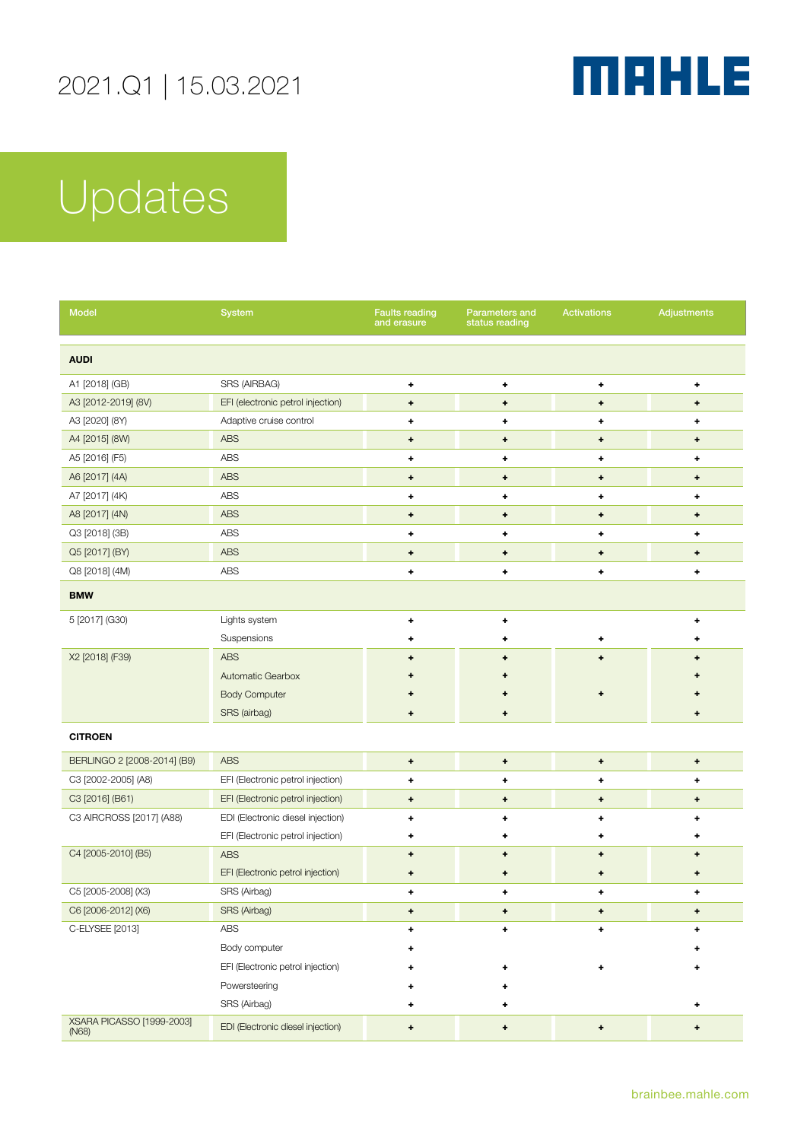

| Model                                     | <b>System</b>                     | <b>Faults reading</b><br>and erasure | <b>Parameters and</b><br>status reading | <b>Activations</b>                     | <b>Adjustments</b> |
|-------------------------------------------|-----------------------------------|--------------------------------------|-----------------------------------------|----------------------------------------|--------------------|
| <b>AUDI</b>                               |                                   |                                      |                                         |                                        |                    |
| A1 [2018] (GB)                            | SRS (AIRBAG)                      | ۰                                    | ٠                                       | ٠                                      | ٠                  |
| A3 [2012-2019] (8V)                       | EFI (electronic petrol injection) | ٠                                    | ٠                                       | ٠                                      | ۰                  |
| A3 [2020] (8Y)                            | Adaptive cruise control           | ٠                                    | ٠                                       | ٠                                      | ٠                  |
| A4 [2015] (8W)                            | ABS                               | ۰                                    | ٠                                       | $\begin{array}{c} \bullet \end{array}$ | $\ddot{}$          |
| A5 [2016] (F5)                            | ABS                               | ٠                                    | ٠                                       | ٠                                      | ٠                  |
| A6 [2017] (4A)                            | <b>ABS</b>                        | ٠                                    | ٠                                       | ٠                                      | ۰                  |
| A7 [2017] (4K)                            | ABS                               | ٠                                    | ٠                                       | ٠                                      | ٠                  |
| A8 [2017] (4N)                            | <b>ABS</b>                        | ٠                                    | ۰                                       | ۰                                      | ٠                  |
| Q3 [2018] (3B)                            | ABS                               | ٠                                    | ۰                                       | ٠                                      | ٠                  |
| Q5 [2017] (BY)                            | <b>ABS</b>                        | ٠                                    | ٠                                       | $\begin{array}{c} \bullet \end{array}$ | ٠                  |
| Q8 [2018] (4M)                            | ABS                               | ۰                                    | ٠                                       | ٠                                      | ٠                  |
| <b>BMW</b>                                |                                   |                                      |                                         |                                        |                    |
| 5 [2017] (G30)                            | Lights system                     | ٠                                    | ٠                                       |                                        | ٠                  |
|                                           | Suspensions                       |                                      | ۰                                       | ٠                                      | ٠                  |
| X2 [2018] (F39)                           | <b>ABS</b>                        |                                      |                                         | ÷                                      |                    |
|                                           | Automatic Gearbox                 |                                      |                                         |                                        |                    |
|                                           | <b>Body Computer</b>              |                                      |                                         | ۰                                      |                    |
|                                           | SRS (airbag)                      | ٠                                    | ۰                                       |                                        | ۰                  |
| <b>CITROEN</b>                            |                                   |                                      |                                         |                                        |                    |
| BERLINGO 2 [2008-2014] (B9)               | <b>ABS</b>                        | ٠                                    | ٠                                       | $\ddot{}$                              | ٠                  |
| C3 [2002-2005] (A8)                       | EFI (Electronic petrol injection) | ٠                                    | ٠                                       | ٠                                      | ۰                  |
| C3 [2016] (B61)                           | EFI (Electronic petrol injection) | ۰                                    | ٠                                       | ۰                                      | ۰                  |
| C3 AIRCROSS [2017] (A88)                  | EDI (Electronic diesel injection) | ٠                                    | ٠                                       | ٠                                      | ٠                  |
|                                           | EFI (Electronic petrol injection) | ٠                                    | ٠                                       | ٠                                      | ٠                  |
| C4 [2005-2010] (B5)                       | <b>ABS</b>                        | ٠                                    | ٠                                       | ٠                                      | ٠                  |
|                                           | EFI (Electronic petrol injection) | ۰                                    | ۰                                       | ۰                                      | ۰                  |
| C5 [2005-2008] (X3)                       | SRS (Airbag)                      | ٠                                    | ٠                                       | ٠                                      | ٠                  |
| C6 [2006-2012] (X6)                       | SRS (Airbag)                      | ۰                                    | ۰                                       | ۰                                      | ٠                  |
| C-ELYSEE [2013]                           | <b>ABS</b>                        |                                      | ٠                                       | ٠                                      | ٠                  |
|                                           | Body computer                     |                                      |                                         |                                        |                    |
|                                           | EFI (Electronic petrol injection) |                                      |                                         | ٠                                      | ۰                  |
|                                           | Powersteering                     |                                      |                                         |                                        |                    |
|                                           | SRS (Airbag)                      | ٠                                    |                                         |                                        | ٠                  |
| <b>XSARA PICASSO [1999-2003]</b><br>(N68) | EDI (Electronic diesel injection) | ٠                                    | ٠                                       | ٠                                      | ٠                  |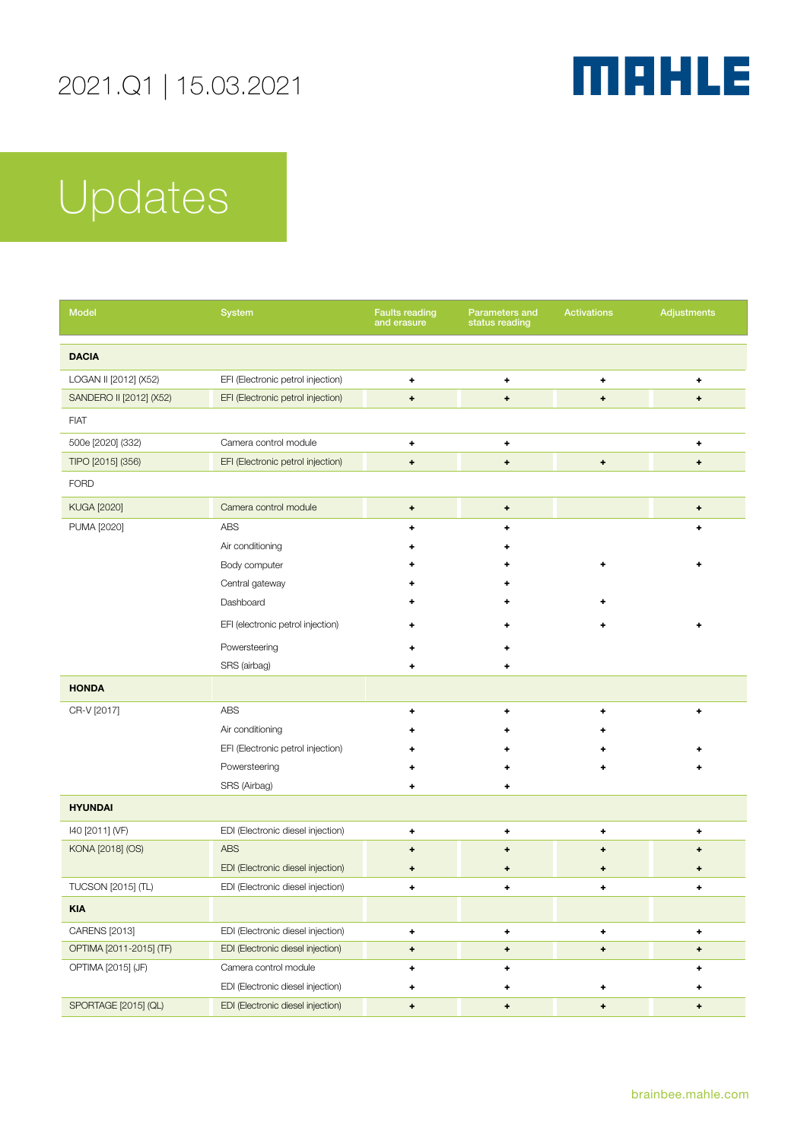

| <b>Model</b>            | System                            | <b>Faults reading</b><br>and erasure   | Parameters and<br>status reading | <b>Activations</b> | Adjustments  |
|-------------------------|-----------------------------------|----------------------------------------|----------------------------------|--------------------|--------------|
| <b>DACIA</b>            |                                   |                                        |                                  |                    |              |
| LOGAN II [2012] (X52)   | EFI (Electronic petrol injection) | ٠                                      | ۰                                | ٠                  | ۰            |
| SANDERO II [2012] (X52) | EFI (Electronic petrol injection) | $\ddot{}$                              | $\ddot{}$                        | $\ddot{}$          | $\ddot{}$    |
| <b>FIAT</b>             |                                   |                                        |                                  |                    |              |
| 500e [2020] (332)       | Camera control module             | ۰                                      | ٠                                |                    | ٠            |
| TIPO [2015] (356)       | EFI (Electronic petrol injection) | $\ddot{}$                              | ÷                                | $\ddot{}$          | $\ddot{}$    |
| <b>FORD</b>             |                                   |                                        |                                  |                    |              |
| <b>KUGA [2020]</b>      | Camera control module             | $\bullet$                              | ٠                                |                    | ٠            |
| PUMA [2020]             | <b>ABS</b>                        | ٠                                      | ÷                                |                    | ٠            |
|                         | Air conditioning                  |                                        |                                  |                    |              |
|                         | Body computer                     |                                        |                                  | ٠                  | ٠            |
|                         | Central gateway                   |                                        |                                  |                    |              |
|                         | Dashboard                         |                                        |                                  | ٠                  |              |
|                         | EFI (electronic petrol injection) | ٠                                      |                                  | ٠                  | ٠            |
|                         | Powersteering                     |                                        |                                  |                    |              |
|                         | SRS (airbag)                      | ٠                                      | ۰                                |                    |              |
| <b>HONDA</b>            |                                   |                                        |                                  |                    |              |
| CR-V [2017]             | <b>ABS</b>                        | ٠                                      | ۰                                | ٠                  | ٠            |
|                         | Air conditioning                  |                                        |                                  |                    |              |
|                         | EFI (Electronic petrol injection) |                                        |                                  |                    |              |
|                         | Powersteering                     |                                        |                                  |                    |              |
|                         | SRS (Airbag)                      | ٠                                      | ٠                                |                    |              |
| <b>HYUNDAI</b>          |                                   |                                        |                                  |                    |              |
| I40 [2011] (VF)         | EDI (Electronic diesel injection) | ٠                                      | ٠                                | ٠                  | ٠            |
| KONA [2018] (OS)        | <b>ABS</b>                        | ۰                                      | ۰                                | ۰                  | ٠            |
|                         | EDI (Electronic diesel injection) | ۰                                      | ۰                                | ٠                  | ۰            |
| TUCSON [2015] (TL)      | EDI (Electronic diesel injection) | ٠                                      | ٠                                | $\ddot{}$          | ٠            |
| <b>KIA</b>              |                                   |                                        |                                  |                    |              |
| CARENS [2013]           | EDI (Electronic diesel injection) | ٠                                      | ٠                                | ٠                  | ٠            |
| OPTIMA [2011-2015] (TF) | EDI (Electronic diesel injection) | $\begin{array}{c} \bullet \end{array}$ | ٠                                | $\ddot{}$          | $\ddot{}$    |
| OPTIMA [2015] (JF)      | Camera control module             | ٠                                      | ٠                                |                    | ٠            |
|                         | EDI (Electronic diesel injection) | ٠                                      | ٠                                | ٠                  | ٠            |
| SPORTAGE [2015] (QL)    | EDI (Electronic diesel injection) | $\pmb{\ast}$                           | $\ddot{}$                        | $\pmb{\ast}$       | $\pmb{\ast}$ |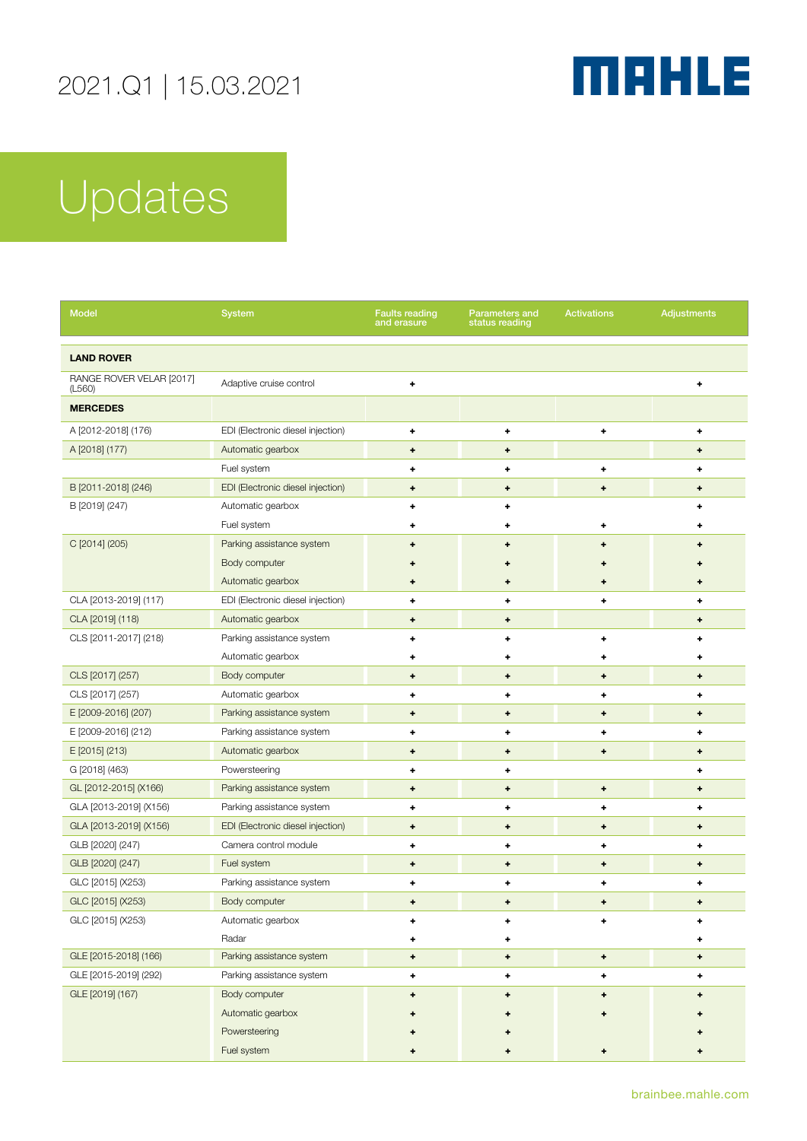

| <b>Model</b>                       | <b>System</b>                     | <b>Faults reading</b><br>and erasure   | <b>Parameters and</b><br>status reading | <b>Activations</b>               | <b>Adjustments</b>               |
|------------------------------------|-----------------------------------|----------------------------------------|-----------------------------------------|----------------------------------|----------------------------------|
| <b>LAND ROVER</b>                  |                                   |                                        |                                         |                                  |                                  |
| RANGE ROVER VELAR [2017]<br>(L560) | Adaptive cruise control           | ٠                                      |                                         |                                  | ٠                                |
| <b>MERCEDES</b>                    |                                   |                                        |                                         |                                  |                                  |
| A [2012-2018] (176)                | EDI (Electronic diesel injection) | ٠                                      | ٠                                       | ٠                                | ٠                                |
| A [2018] (177)                     | Automatic gearbox                 | ٠                                      | $\begin{array}{c} + \end{array}$        |                                  | $\begin{array}{c} + \end{array}$ |
|                                    | Fuel system                       | ٠                                      | ۰                                       | ٠                                | ٠                                |
| B [2011-2018] (246)                | EDI (Electronic diesel injection) | ۰                                      | ۰                                       | $\begin{array}{c} + \end{array}$ | ٠                                |
| B [2019] (247)                     | Automatic gearbox                 | ٠                                      | ٠                                       |                                  | ٠                                |
|                                    | Fuel system                       | ۰                                      | 4                                       | ۰                                | ٠                                |
| C [2014] (205)                     | Parking assistance system         | ۰                                      | ٠                                       | ۰                                | ٠                                |
|                                    | Body computer                     |                                        |                                         |                                  |                                  |
|                                    | Automatic gearbox                 | ٠                                      | ۰                                       | ۰                                | ٠                                |
| CLA [2013-2019] (117)              | EDI (Electronic diesel injection) | ٠                                      | ٠                                       | ٠                                | ٠                                |
| CLA [2019] (118)                   | Automatic gearbox                 | $\begin{array}{c} + \end{array}$       | ۰                                       |                                  | $\begin{array}{c} + \end{array}$ |
| CLS [2011-2017] (218)              | Parking assistance system         | ۰                                      | ۰                                       | ۰                                | ٠                                |
|                                    | Automatic gearbox                 | ۰                                      | ۰                                       | ۰                                | ۰                                |
| CLS [2017] (257)                   | Body computer                     | $\begin{array}{c} \bullet \end{array}$ | $\ddot{}$                               | $\ddot{}$                        | $\ddot{}$                        |
| CLS [2017] (257)                   | Automatic gearbox                 | ٠                                      | ٠                                       | ٠                                | ٠                                |
| E [2009-2016] (207)                | Parking assistance system         | ۰                                      | ۰                                       | ۰                                | ۰                                |
| E [2009-2016] (212)                | Parking assistance system         | ٠                                      | ٠                                       | ٠                                | ٠                                |
| E [2015] (213)                     | Automatic gearbox                 | $\begin{array}{c} \bullet \end{array}$ | $\begin{array}{c} \bullet \end{array}$  | +                                | $\ddot{}$                        |
| G [2018] (463)                     | Powersteering                     | ٠                                      | ٠                                       |                                  | ٠                                |
| GL [2012-2015] (X166)              | Parking assistance system         | ۰                                      | ٠                                       | ٠                                | ٠                                |
| GLA [2013-2019] (X156)             | Parking assistance system         | ٠                                      | ٠                                       | ٠                                | ٠                                |
| GLA [2013-2019] (X156)             | EDI (Electronic diesel injection) | ۰                                      | ۰                                       | ۰                                | ۰                                |
| GLB [2020] (247)                   | Camera control module             | ٠                                      | ٠                                       | ٠                                | ٠                                |
| GLB [2020] (247)                   | Fuel system                       | ٠                                      | ۰                                       | ٠                                | ٠                                |
| GLC [2015] (X253)                  | Parking assistance system         | ۰                                      | ۰                                       | ٠                                | ٠                                |
| GLC [2015] (X253)                  | Body computer                     |                                        | ۰                                       | ۰                                |                                  |
| GLC [2015] (X253)                  | Automatic gearbox                 |                                        | ٠                                       | ٠                                | ٠                                |
|                                    | Radar                             |                                        | ٠                                       |                                  | ٠                                |
| GLE [2015-2018] (166)              | Parking assistance system         | ۰                                      | ٠                                       | $\ddot{}$                        | $\ddot{}$                        |
| GLE [2015-2019] (292)              | Parking assistance system         | ٠                                      | ٠                                       | ٠                                | ٠                                |
| GLE [2019] (167)                   | Body computer                     | ٠                                      | ۰                                       | ÷                                | ٠                                |
|                                    | Automatic gearbox                 |                                        |                                         |                                  |                                  |
|                                    | Powersteering                     |                                        |                                         |                                  |                                  |
|                                    | Fuel system                       |                                        |                                         | ٠                                |                                  |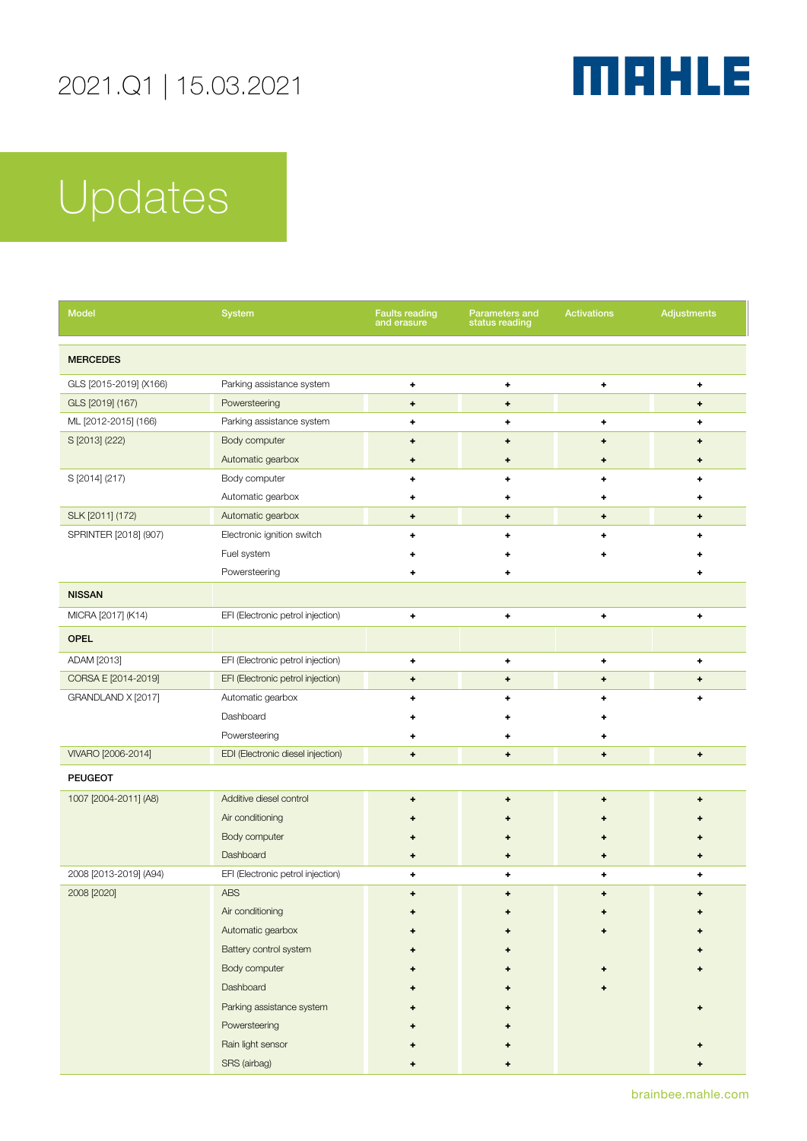

| <b>Model</b>           | <b>System</b>                     | <b>Faults reading</b><br>and erasure              | Parameters and<br>status reading | <b>Activations</b>                                | <b>Adjustments</b>   |
|------------------------|-----------------------------------|---------------------------------------------------|----------------------------------|---------------------------------------------------|----------------------|
| <b>MERCEDES</b>        |                                   |                                                   |                                  |                                                   |                      |
| GLS [2015-2019] (X166) | Parking assistance system         | ٠                                                 | ٠                                | ٠                                                 | ٠                    |
| GLS [2019] (167)       | Powersteering                     | ٠                                                 | $\ddot{\phantom{1}}$             |                                                   | ٠                    |
| ML [2012-2015] (166)   | Parking assistance system         | ٠                                                 | ٠                                | ٠                                                 | ÷                    |
| S [2013] (222)         | Body computer                     | ٠                                                 | $\ddot{}$                        | $\ddot{}$                                         | ٠                    |
|                        | Automatic gearbox                 | ٠                                                 | ۰                                | ٠                                                 | ٠                    |
| S [2014] (217)         | Body computer                     | ٠                                                 | ٠                                | ٠                                                 | ٠                    |
|                        | Automatic gearbox                 | ٠                                                 | ۰                                | ٠                                                 | ٠                    |
| SLK [2011] (172)       | Automatic gearbox                 | ٠                                                 | ٠                                | $\ddot{}$                                         | ۰                    |
| SPRINTER [2018] (907)  | Electronic ignition switch        | ٠                                                 | ٠                                | ٠                                                 | ٠                    |
|                        | Fuel system                       | ٠                                                 |                                  | ٠                                                 |                      |
|                        | Powersteering                     | ٠                                                 | ٠                                |                                                   | ٠                    |
| <b>NISSAN</b>          |                                   |                                                   |                                  |                                                   |                      |
| MICRA [2017] (K14)     | EFI (Electronic petrol injection) | ٠                                                 | ٠                                | ٠                                                 | ٠                    |
| <b>OPEL</b>            |                                   |                                                   |                                  |                                                   |                      |
| ADAM [2013]            | EFI (Electronic petrol injection) | ٠                                                 | ٠                                | ٠                                                 | ٠                    |
| CORSA E [2014-2019]    | EFI (Electronic petrol injection) | ٠                                                 | ٠                                | $\begin{array}{c} \bullet \\ \bullet \end{array}$ | ٠                    |
| GRANDLAND X [2017]     | Automatic gearbox                 | ٠                                                 | ٠                                | ٠                                                 | ٠                    |
|                        | Dashboard                         |                                                   |                                  |                                                   |                      |
|                        | Powersteering                     |                                                   |                                  | ۰                                                 |                      |
| VIVARO [2006-2014]     | EDI (Electronic diesel injection) | $\begin{array}{c} \bullet \\ \bullet \end{array}$ | ٠                                | $\ddot{\phantom{1}}$                              | $\ddot{\phantom{1}}$ |
| <b>PEUGEOT</b>         |                                   |                                                   |                                  |                                                   |                      |
| 1007 [2004-2011] (A8)  | Additive diesel control           | ٠                                                 | ٠                                | $\begin{array}{c} \bullet \\ \bullet \end{array}$ | ٠                    |
|                        | Air conditioning                  |                                                   |                                  | ٠                                                 |                      |
|                        | Body computer                     |                                                   |                                  | ۰                                                 |                      |
|                        | Dashboard                         |                                                   |                                  | ۰                                                 |                      |
| 2008 [2013-2019] (A94) | EFI (Electronic petrol injection) | ٠                                                 | ٠                                | ٠                                                 | ٠                    |
| 2008 [2020]            | <b>ABS</b>                        | ٠                                                 | ٠                                | ٠                                                 | ÷                    |
|                        | Air conditioning                  |                                                   |                                  |                                                   |                      |
|                        | Automatic gearbox                 |                                                   |                                  |                                                   |                      |
|                        | Battery control system            |                                                   |                                  |                                                   |                      |
|                        | Body computer                     |                                                   |                                  |                                                   |                      |
|                        | Dashboard                         |                                                   |                                  |                                                   |                      |
|                        | Parking assistance system         |                                                   |                                  |                                                   |                      |
|                        | Powersteering                     |                                                   |                                  |                                                   |                      |
|                        | Rain light sensor                 |                                                   |                                  |                                                   |                      |
|                        | SRS (airbag)                      |                                                   |                                  |                                                   |                      |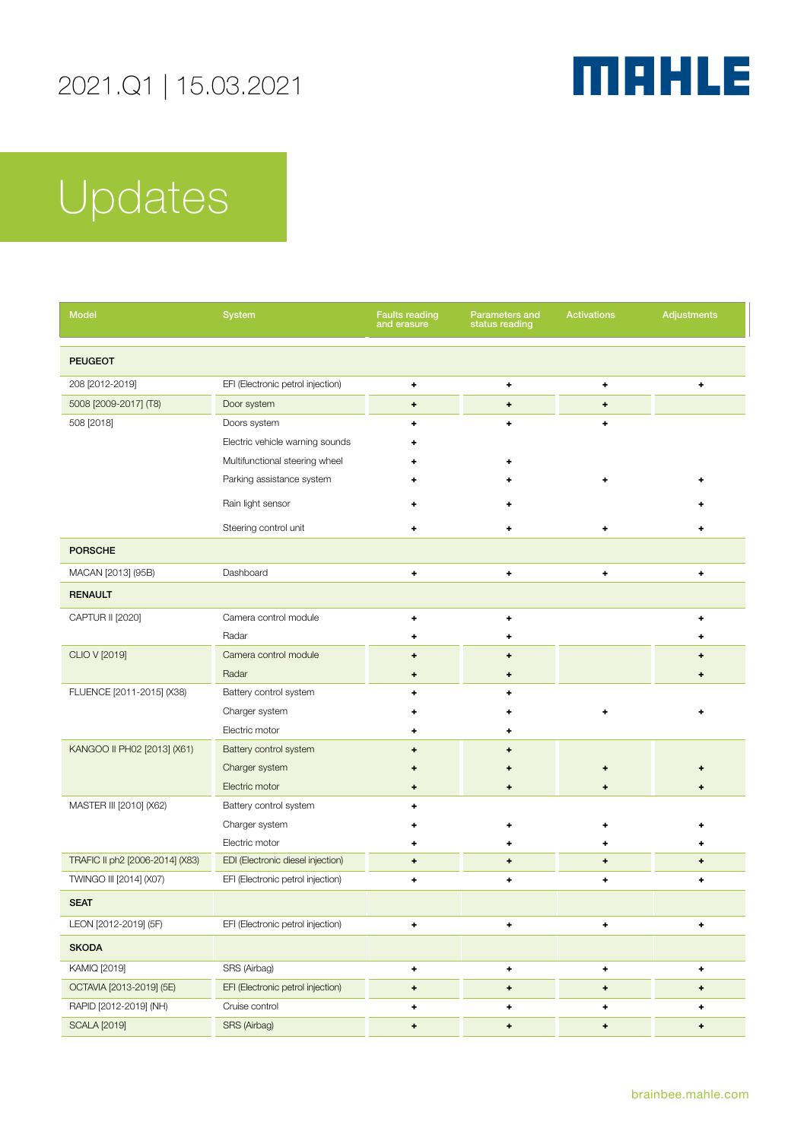

| <b>Model</b>                    | <b>System</b>                     | <b>Faults reading</b><br>and erasure   | Parameters and<br>status reading | <b>Activations</b>   | <b>Adjustments</b> |
|---------------------------------|-----------------------------------|----------------------------------------|----------------------------------|----------------------|--------------------|
| <b>PEUGEOT</b>                  |                                   |                                        |                                  |                      |                    |
| 208 [2012-2019]                 | EFI (Electronic petrol injection) | $\ddot{}$                              | ٠                                | ٠                    | ٠                  |
| 5008 [2009-2017] (T8)           | Door system                       | ٠                                      | $\ddot{}$                        | $\ddot{}$            |                    |
| 508 [2018]                      | Doors system                      | ٠                                      | ٠                                | $\ddot{}$            |                    |
|                                 | Electric vehicle warning sounds   |                                        |                                  |                      |                    |
|                                 | Multifunctional steering wheel    |                                        |                                  |                      |                    |
|                                 | Parking assistance system         |                                        |                                  | ٠                    |                    |
|                                 | Rain light sensor                 |                                        |                                  |                      |                    |
|                                 | Steering control unit             | ٠                                      | ٠                                | ٠                    | ٠                  |
| <b>PORSCHE</b>                  |                                   |                                        |                                  |                      |                    |
| MACAN [2013] (95B)              | Dashboard                         | ٠                                      | ٠                                | ٠                    | ٠                  |
| <b>RENAULT</b>                  |                                   |                                        |                                  |                      |                    |
| CAPTUR II [2020]                | Camera control module             | ٠                                      | ٠                                |                      | ٠                  |
|                                 | Radar                             |                                        |                                  |                      |                    |
| CLIO V [2019]                   | Camera control module             | ٠                                      | $\ddot{}$                        |                      | ٠                  |
|                                 | Radar                             | ۰                                      | $\ddot{}$                        |                      | ٠                  |
| FLUENCE [2011-2015] (X38)       | Battery control system            | ٠                                      | ٠                                |                      |                    |
|                                 | Charger system                    |                                        |                                  |                      |                    |
|                                 | Electric motor                    |                                        |                                  |                      |                    |
| KANGOO II PH02 [2013] (X61)     | Battery control system            | ٠                                      |                                  |                      |                    |
|                                 | Charger system                    |                                        |                                  |                      |                    |
|                                 | Electric motor                    | ٠                                      | ٠                                | ۰                    |                    |
| MASTER III [2010] (X62)         | Battery control system            | ٠                                      |                                  |                      |                    |
|                                 | Charger system                    |                                        |                                  |                      |                    |
|                                 | Electric motor                    | ٠                                      |                                  | ۰                    | ٠                  |
| TRAFIC II ph2 [2006-2014] (X83) | EDI (Electronic diesel injection) | $\begin{array}{c} \bullet \end{array}$ | $\ddot{}$                        | $\ddot{\phantom{0}}$ | $\ddot{}$          |
| TWINGO III [2014] (X07)         | EFI (Electronic petrol injection) | ٠                                      | ٠                                | ÷                    | ٠                  |
| <b>SEAT</b>                     |                                   |                                        |                                  |                      |                    |
| LEON [2012-2019] (5F)           | EFI (Electronic petrol injection) | ٠                                      | ٠                                | ٠                    | ٠                  |
| <b>SKODA</b>                    |                                   |                                        |                                  |                      |                    |
| KAMIQ [2019]                    | SRS (Airbag)                      | ٠                                      | $\ddag$                          | ٠                    | ٠                  |
| OCTAVIA [2013-2019] (5E)        | EFI (Electronic petrol injection) | $\pmb{\ast}$                           | $\ddag$                          | $\ddot{}$            | ٠                  |
| RAPID [2012-2019] (NH)          | Cruise control                    | $\ddot{\phantom{1}}$                   | ٠                                | ٠                    | ٠                  |
| <b>SCALA [2019]</b>             | SRS (Airbag)                      | $\ddag$                                | $\ddag$                          | $\ddot{}$            | $\pmb{\ast}$       |